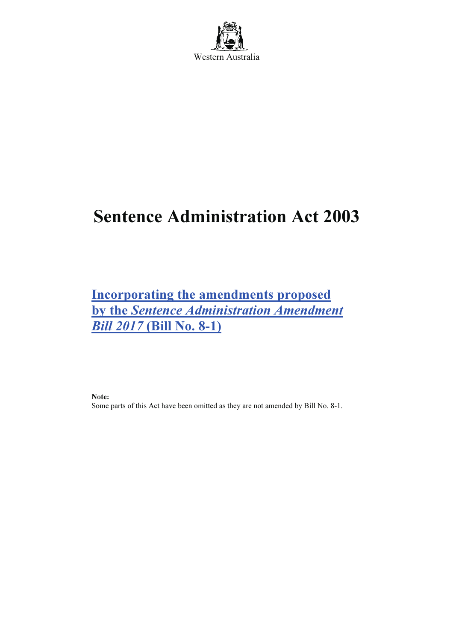

# Sentence Administration Act 2003

Incorporating the amendments proposed by the Sentence Administration Amendment Bill 2017 (Bill No. 8-1)

Note:

Some parts of this Act have been omitted as they are not amended by Bill No. 8-1.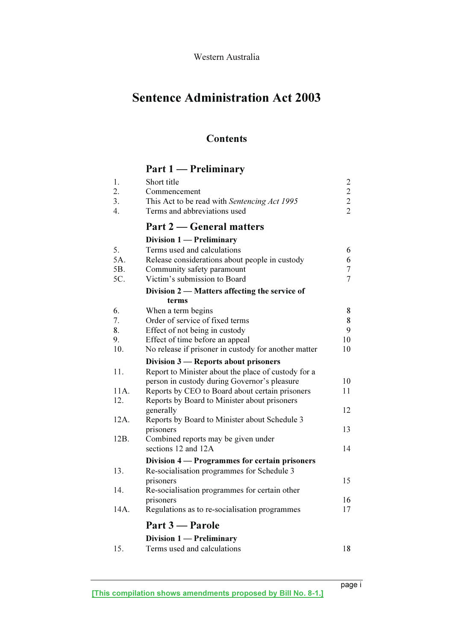## Sentence Administration Act 2003

## **Contents**

## Part 1 — Preliminary

| Short title<br>Commencement<br>This Act to be read with Sentencing Act 1995<br>Terms and abbreviations used | $\overline{c}$<br>$\begin{array}{c} 2 \\ 2 \\ 2 \end{array}$                                                                                                                                                                                                                                                                                                                                                                                                                                                                                                                                      |
|-------------------------------------------------------------------------------------------------------------|---------------------------------------------------------------------------------------------------------------------------------------------------------------------------------------------------------------------------------------------------------------------------------------------------------------------------------------------------------------------------------------------------------------------------------------------------------------------------------------------------------------------------------------------------------------------------------------------------|
| Part 2 — General matters                                                                                    |                                                                                                                                                                                                                                                                                                                                                                                                                                                                                                                                                                                                   |
| Division 1 - Preliminary                                                                                    |                                                                                                                                                                                                                                                                                                                                                                                                                                                                                                                                                                                                   |
| Terms used and calculations                                                                                 | 6                                                                                                                                                                                                                                                                                                                                                                                                                                                                                                                                                                                                 |
|                                                                                                             | 6                                                                                                                                                                                                                                                                                                                                                                                                                                                                                                                                                                                                 |
|                                                                                                             | $\tau$<br>$\overline{7}$                                                                                                                                                                                                                                                                                                                                                                                                                                                                                                                                                                          |
|                                                                                                             |                                                                                                                                                                                                                                                                                                                                                                                                                                                                                                                                                                                                   |
|                                                                                                             |                                                                                                                                                                                                                                                                                                                                                                                                                                                                                                                                                                                                   |
|                                                                                                             | 8                                                                                                                                                                                                                                                                                                                                                                                                                                                                                                                                                                                                 |
| Order of service of fixed terms                                                                             | 8                                                                                                                                                                                                                                                                                                                                                                                                                                                                                                                                                                                                 |
| Effect of not being in custody                                                                              | 9                                                                                                                                                                                                                                                                                                                                                                                                                                                                                                                                                                                                 |
| Effect of time before an appeal                                                                             | 10                                                                                                                                                                                                                                                                                                                                                                                                                                                                                                                                                                                                |
|                                                                                                             | 10                                                                                                                                                                                                                                                                                                                                                                                                                                                                                                                                                                                                |
| Division 3 – Reports about prisoners                                                                        |                                                                                                                                                                                                                                                                                                                                                                                                                                                                                                                                                                                                   |
| Report to Minister about the place of custody for a                                                         |                                                                                                                                                                                                                                                                                                                                                                                                                                                                                                                                                                                                   |
|                                                                                                             | 10                                                                                                                                                                                                                                                                                                                                                                                                                                                                                                                                                                                                |
|                                                                                                             | 11                                                                                                                                                                                                                                                                                                                                                                                                                                                                                                                                                                                                |
|                                                                                                             | 12                                                                                                                                                                                                                                                                                                                                                                                                                                                                                                                                                                                                |
|                                                                                                             |                                                                                                                                                                                                                                                                                                                                                                                                                                                                                                                                                                                                   |
|                                                                                                             | 13                                                                                                                                                                                                                                                                                                                                                                                                                                                                                                                                                                                                |
| Combined reports may be given under                                                                         |                                                                                                                                                                                                                                                                                                                                                                                                                                                                                                                                                                                                   |
| sections 12 and 12A                                                                                         | 14                                                                                                                                                                                                                                                                                                                                                                                                                                                                                                                                                                                                |
| Division 4 - Programmes for certain prisoners                                                               |                                                                                                                                                                                                                                                                                                                                                                                                                                                                                                                                                                                                   |
| Re-socialisation programmes for Schedule 3                                                                  |                                                                                                                                                                                                                                                                                                                                                                                                                                                                                                                                                                                                   |
| prisoners                                                                                                   | 15                                                                                                                                                                                                                                                                                                                                                                                                                                                                                                                                                                                                |
|                                                                                                             |                                                                                                                                                                                                                                                                                                                                                                                                                                                                                                                                                                                                   |
|                                                                                                             | 16<br>17                                                                                                                                                                                                                                                                                                                                                                                                                                                                                                                                                                                          |
|                                                                                                             |                                                                                                                                                                                                                                                                                                                                                                                                                                                                                                                                                                                                   |
| Part 3 – Parole                                                                                             |                                                                                                                                                                                                                                                                                                                                                                                                                                                                                                                                                                                                   |
| Division $1$ – Preliminary                                                                                  |                                                                                                                                                                                                                                                                                                                                                                                                                                                                                                                                                                                                   |
| Terms used and calculations                                                                                 | 18                                                                                                                                                                                                                                                                                                                                                                                                                                                                                                                                                                                                |
|                                                                                                             | Release considerations about people in custody<br>Community safety paramount<br>Victim's submission to Board<br>Division 2 — Matters affecting the service of<br>terms<br>When a term begins<br>No release if prisoner in custody for another matter<br>person in custody during Governor's pleasure<br>Reports by CEO to Board about certain prisoners<br>Reports by Board to Minister about prisoners<br>generally<br>Reports by Board to Minister about Schedule 3<br>prisoners<br>Re-socialisation programmes for certain other<br>prisoners<br>Regulations as to re-socialisation programmes |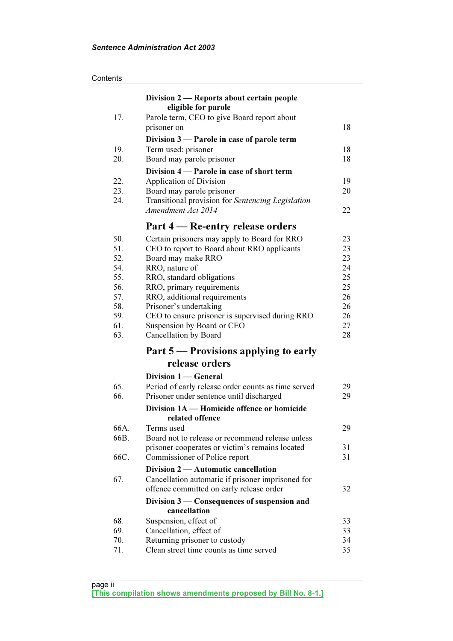| Contents |
|----------|
|----------|

|            | Division 2 — Reports about certain people                                |          |
|------------|--------------------------------------------------------------------------|----------|
|            | eligible for parole                                                      |          |
| 17.        | Parole term, CEO to give Board report about                              |          |
|            | prisoner on                                                              | 18       |
|            | Division 3 — Parole in case of parole term                               |          |
| 19.        | Term used: prisoner                                                      | 18       |
| 20.        | Board may parole prisoner                                                | 18       |
|            | Division 4 — Parole in case of short term                                |          |
| 22.        | <b>Application of Division</b>                                           | 19       |
| 23.        | Board may parole prisoner                                                | 20       |
| 24.        | Transitional provision for Sentencing Legislation                        |          |
|            | Amendment Act 2014                                                       | 22       |
|            | Part 4 – Re-entry release orders                                         |          |
| 50.        | Certain prisoners may apply to Board for RRO                             | 23       |
| 51.        | CEO to report to Board about RRO applicants                              | 23       |
| 52.        | Board may make RRO                                                       | 23       |
| 54.        | RRO, nature of                                                           | 24       |
| 55.        | RRO, standard obligations                                                | 25       |
| 56.        | RRO, primary requirements                                                | 25       |
| 57.        | RRO, additional requirements                                             | 26       |
| 58.        | Prisoner's undertaking                                                   | 26       |
| 59.        | CEO to ensure prisoner is supervised during RRO                          | 26       |
| 61.<br>63. | Suspension by Board or CEO<br>Cancellation by Board                      | 27<br>28 |
|            |                                                                          |          |
|            | Part 5 — Provisions applying to early<br>release orders                  |          |
|            |                                                                          |          |
|            | Division 1 - General                                                     |          |
| 65.        | Period of early release order counts as time served                      | 29       |
| 66.        | Prisoner under sentence until discharged                                 | 29       |
|            | Division 1A — Homicide offence or homicide<br>related offence            |          |
| 66A.       | Terms used                                                               | 29       |
| 66B.       | Board not to release or recommend release unless                         |          |
|            | prisoner cooperates or victim's remains located                          | 31       |
| 66C.       | Commissioner of Police report                                            | 31       |
|            | Division 2 — Automatic cancellation                                      |          |
| 67.        | Cancellation automatic if prisoner imprisoned for                        |          |
|            | offence committed on early release order                                 | 32       |
|            | Division 3 — Consequences of suspension and                              |          |
|            | cancellation                                                             |          |
| 68.        | Suspension, effect of                                                    | 33       |
| 69.        | Cancellation, effect of                                                  | 33       |
| 70.<br>71. | Returning prisoner to custody<br>Clean street time counts as time served | 34<br>35 |
|            |                                                                          |          |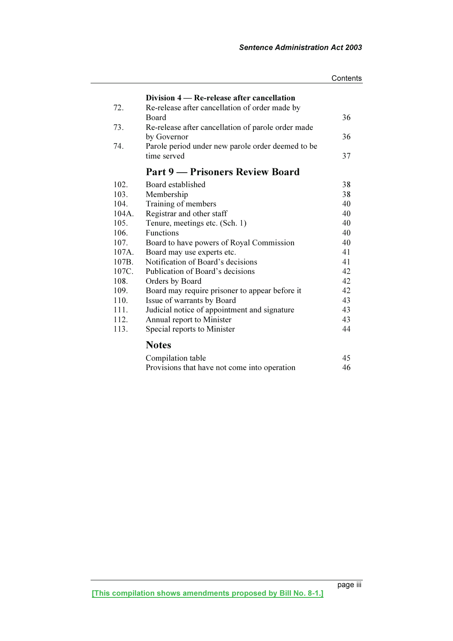|          |                                                    | Contents |
|----------|----------------------------------------------------|----------|
|          | Division 4 – Re-release after cancellation         |          |
| 72.      | Re-release after cancellation of order made by     |          |
|          | Board                                              | 36       |
| 73.      | Re-release after cancellation of parole order made |          |
|          | by Governor                                        | 36       |
| 74.      | Parole period under new parole order deemed to be  |          |
|          | time served                                        | 37       |
|          | <b>Part 9 — Prisoners Review Board</b>             |          |
|          |                                                    |          |
| 102.     | Board established                                  | 38       |
| 103.     | Membership                                         | 38       |
| 104.     | Training of members                                | 40       |
| $104A$ . | Registrar and other staff                          | 40       |
| 105.     | Tenure, meetings etc. (Sch. 1)                     | 40       |
| 106.     | <b>Functions</b>                                   | 40       |
| 107.     | Board to have powers of Royal Commission           | 40       |
| 107A.    | Board may use experts etc.                         | 41       |
| 107B.    | Notification of Board's decisions                  | 41       |
| 107C.    | Publication of Board's decisions                   | 42       |
| 108.     | Orders by Board                                    | 42       |
| 109.     | Board may require prisoner to appear before it     | 42       |
| 110.     | Issue of warrants by Board                         | 43       |
| 111.     | Judicial notice of appointment and signature       | 43       |
| 112.     | Annual report to Minister                          | 43       |
| 113.     | Special reports to Minister                        | 44       |
|          | <b>Notes</b>                                       |          |
|          | Compilation table                                  | 45       |
|          | Provisions that have not come into operation       | 46       |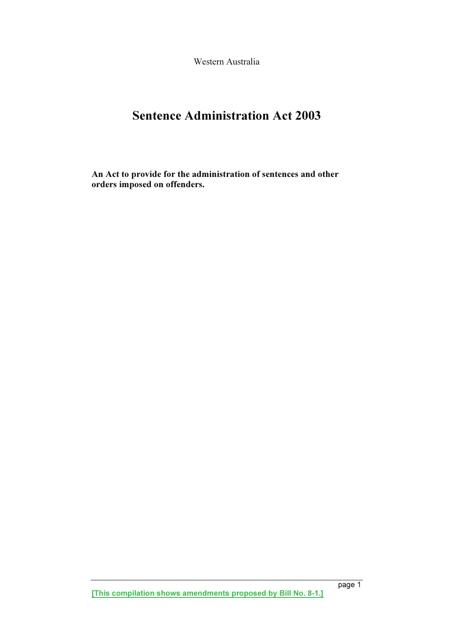Western Australia

## Sentence Administration Act 2003

An Act to provide for the administration of sentences and other orders imposed on offenders.

[This compilation shows amendments proposed by Bill No. 8-1.]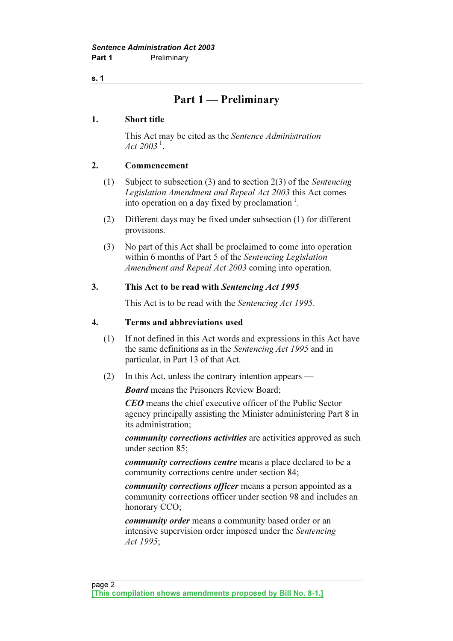## Part 1 — Preliminary

## 1. Short title

 This Act may be cited as the Sentence Administration Act  $2003^{1}$ .

## 2. Commencement

- (1) Subject to subsection (3) and to section 2(3) of the Sentencing Legislation Amendment and Repeal Act 2003 this Act comes into operation on a day fixed by proclamation $\frac{1}{1}$ .
- (2) Different days may be fixed under subsection (1) for different provisions.
- (3) No part of this Act shall be proclaimed to come into operation within 6 months of Part 5 of the Sentencing Legislation Amendment and Repeal Act 2003 coming into operation.

## 3. This Act to be read with Sentencing Act 1995

This Act is to be read with the Sentencing Act 1995.

## 4. Terms and abbreviations used

- (1) If not defined in this Act words and expressions in this Act have the same definitions as in the Sentencing Act 1995 and in particular, in Part 13 of that Act.
- (2) In this Act, unless the contrary intention appears —

**Board** means the Prisoners Review Board:

CEO means the chief executive officer of the Public Sector agency principally assisting the Minister administering Part 8 in its administration;

community corrections activities are activities approved as such under section 85;

community corrections centre means a place declared to be a community corrections centre under section 84;

community corrections officer means a person appointed as a community corrections officer under section 98 and includes an honorary CCO;

community order means a community based order or an intensive supervision order imposed under the Sentencing Act 1995;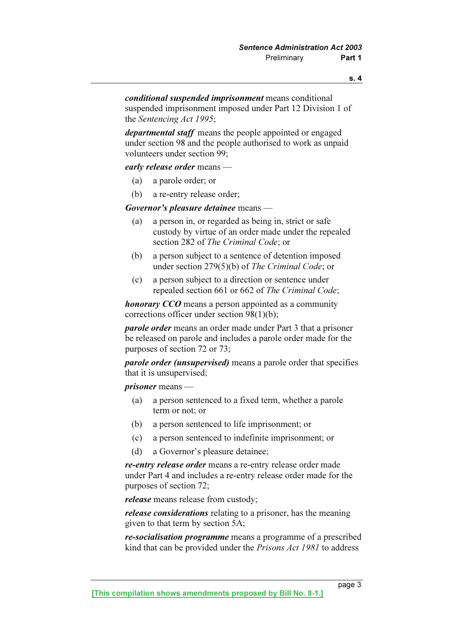conditional suspended imprisonment means conditional suspended imprisonment imposed under Part 12 Division 1 of the Sentencing Act 1995;

departmental staff means the people appointed or engaged under section 98 and the people authorised to work as unpaid volunteers under section 99;

early release order means —

- (a) a parole order; or
- (b) a re-entry release order;

Governor's pleasure detainee means -

- (a) a person in, or regarded as being in, strict or safe custody by virtue of an order made under the repealed section 282 of The Criminal Code; or
- (b) a person subject to a sentence of detention imposed under section 279(5)(b) of The Criminal Code; or
- (c) a person subject to a direction or sentence under repealed section 661 or 662 of The Criminal Code;

honorary CCO means a person appointed as a community corrections officer under section 98(1)(b);

 parole order means an order made under Part 3 that a prisoner be released on parole and includes a parole order made for the purposes of section 72 or 73;

parole order (unsupervised) means a parole order that specifies that it is unsupervised;

prisoner means —

- (a) a person sentenced to a fixed term, whether a parole term or not; or
- (b) a person sentenced to life imprisonment; or
- (c) a person sentenced to indefinite imprisonment; or
- (d) a Governor's pleasure detainee;

re-entry release order means a re-entry release order made under Part 4 and includes a re-entry release order made for the purposes of section 72;

release means release from custody;

release considerations relating to a prisoner, has the meaning given to that term by section 5A;

re-socialisation programme means a programme of a prescribed kind that can be provided under the Prisons Act 1981 to address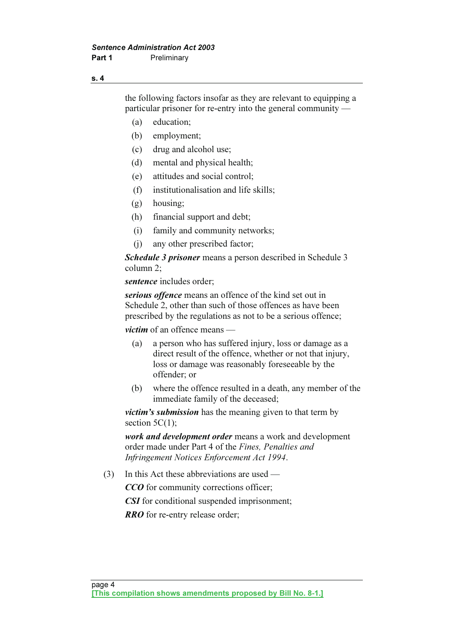the following factors insofar as they are relevant to equipping a particular prisoner for re-entry into the general community —

- (a) education;
- (b) employment;
- (c) drug and alcohol use;
- (d) mental and physical health;
- (e) attitudes and social control;
- (f) institutionalisation and life skills;
- (g) housing;
- (h) financial support and debt;
- (i) family and community networks;
- (j) any other prescribed factor;

Schedule 3 prisoner means a person described in Schedule 3 column 2;

sentence includes order:

serious offence means an offence of the kind set out in Schedule 2, other than such of those offences as have been prescribed by the regulations as not to be a serious offence;

*victim* of an offence means —

- (a) a person who has suffered injury, loss or damage as a direct result of the offence, whether or not that injury, loss or damage was reasonably foreseeable by the offender; or
- (b) where the offence resulted in a death, any member of the immediate family of the deceased;

victim's submission has the meaning given to that term by section  $5C(1)$ ;

work and development order means a work and development order made under Part 4 of the Fines, Penalties and Infringement Notices Enforcement Act 1994.

(3) In this Act these abbreviations are used —

CCO for community corrections officer:

CSI for conditional suspended imprisonment;

**RRO** for re-entry release order;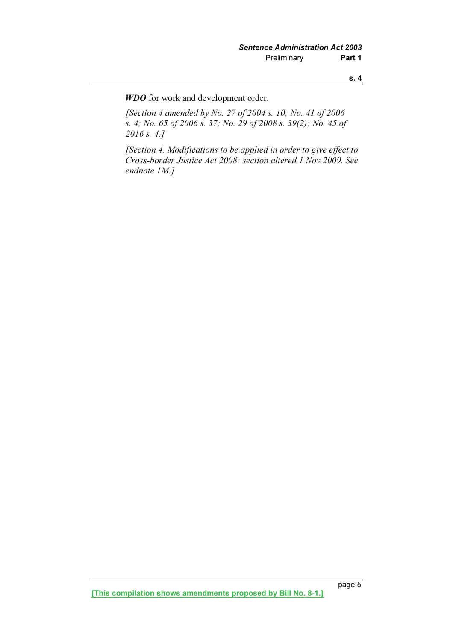WDO for work and development order.

 [Section 4 amended by No. 27 of 2004 s. 10; No. 41 of 2006 s. 4; No. 65 of 2006 s. 37; No. 29 of 2008 s. 39(2); No. 45 of 2016 s. 4.]

 [Section 4. Modifications to be applied in order to give effect to Cross-border Justice Act 2008: section altered 1 Nov 2009. See endnote 1M.]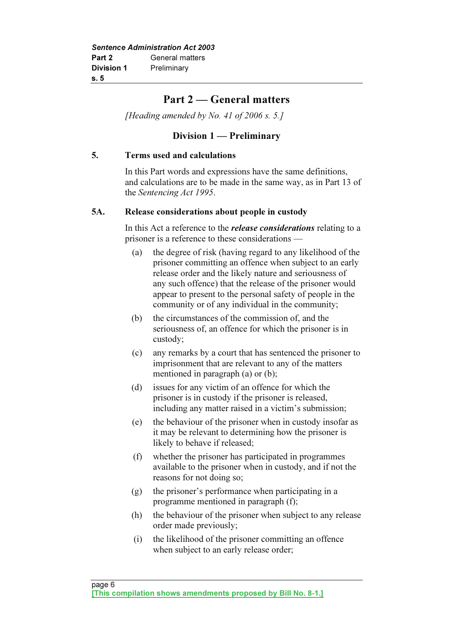## Part 2 — General matters

[Heading amended by No. 41 of 2006 s. 5.]

## Division 1 — Preliminary

## 5. Terms used and calculations

 In this Part words and expressions have the same definitions, and calculations are to be made in the same way, as in Part 13 of the Sentencing Act 1995.

## 5A. Release considerations about people in custody

In this Act a reference to the *release considerations* relating to a prisoner is a reference to these considerations —

- (a) the degree of risk (having regard to any likelihood of the prisoner committing an offence when subject to an early release order and the likely nature and seriousness of any such offence) that the release of the prisoner would appear to present to the personal safety of people in the community or of any individual in the community;
- (b) the circumstances of the commission of, and the seriousness of, an offence for which the prisoner is in custody;
- (c) any remarks by a court that has sentenced the prisoner to imprisonment that are relevant to any of the matters mentioned in paragraph (a) or (b);
- (d) issues for any victim of an offence for which the prisoner is in custody if the prisoner is released, including any matter raised in a victim's submission;
- (e) the behaviour of the prisoner when in custody insofar as it may be relevant to determining how the prisoner is likely to behave if released;
- (f) whether the prisoner has participated in programmes available to the prisoner when in custody, and if not the reasons for not doing so;
- (g) the prisoner's performance when participating in a programme mentioned in paragraph (f);
- (h) the behaviour of the prisoner when subject to any release order made previously;
- (i) the likelihood of the prisoner committing an offence when subject to an early release order;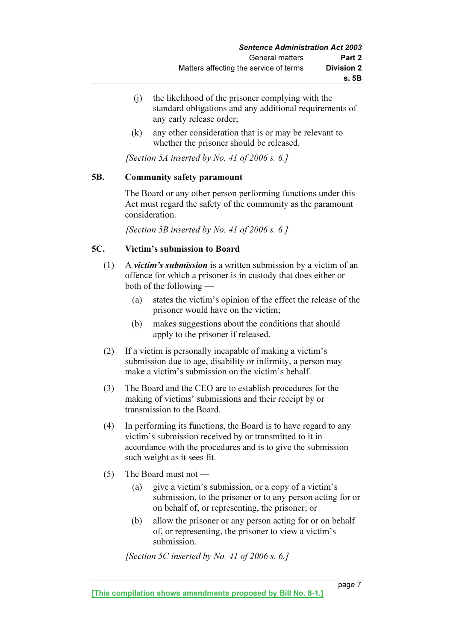- (j) the likelihood of the prisoner complying with the standard obligations and any additional requirements of any early release order;
- (k) any other consideration that is or may be relevant to whether the prisoner should be released.

[Section 5A inserted by No. 41 of 2006 s.  $6.1$ ]

## 5B. Community safety paramount

 The Board or any other person performing functions under this Act must regard the safety of the community as the paramount consideration.

[Section 5B inserted by No. 41 of 2006 s. 6.]

## 5C. Victim's submission to Board

- (1) A victim's submission is a written submission by a victim of an offence for which a prisoner is in custody that does either or both of the following —
	- (a) states the victim's opinion of the effect the release of the prisoner would have on the victim;
	- (b) makes suggestions about the conditions that should apply to the prisoner if released.
- (2) If a victim is personally incapable of making a victim's submission due to age, disability or infirmity, a person may make a victim's submission on the victim's behalf.
- (3) The Board and the CEO are to establish procedures for the making of victims' submissions and their receipt by or transmission to the Board.
- (4) In performing its functions, the Board is to have regard to any victim's submission received by or transmitted to it in accordance with the procedures and is to give the submission such weight as it sees fit.
- (5) The Board must not
	- (a) give a victim's submission, or a copy of a victim's submission, to the prisoner or to any person acting for or on behalf of, or representing, the prisoner; or
	- (b) allow the prisoner or any person acting for or on behalf of, or representing, the prisoner to view a victim's submission.

[Section 5C inserted by No. 41 of 2006 s. 6.]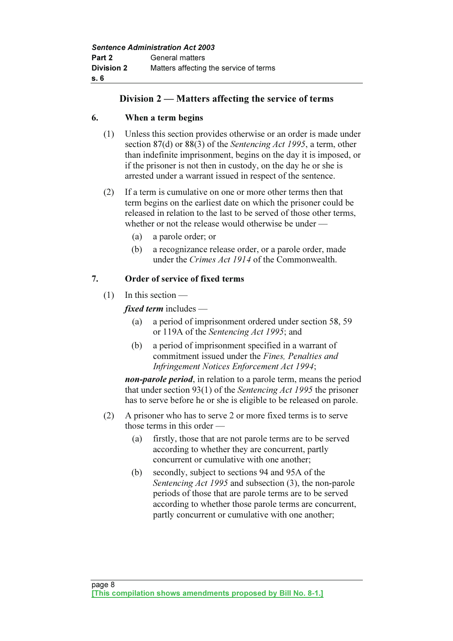## Division 2 — Matters affecting the service of terms

## 6. When a term begins

- (1) Unless this section provides otherwise or an order is made under section 87(d) or 88(3) of the Sentencing Act 1995, a term, other than indefinite imprisonment, begins on the day it is imposed, or if the prisoner is not then in custody, on the day he or she is arrested under a warrant issued in respect of the sentence.
- (2) If a term is cumulative on one or more other terms then that term begins on the earliest date on which the prisoner could be released in relation to the last to be served of those other terms, whether or not the release would otherwise be under —
	- (a) a parole order; or
	- (b) a recognizance release order, or a parole order, made under the Crimes Act 1914 of the Commonwealth.

## 7. Order of service of fixed terms

(1) In this section —

fixed term includes —

- (a) a period of imprisonment ordered under section 58, 59 or 119A of the Sentencing Act 1995; and
- (b) a period of imprisonment specified in a warrant of commitment issued under the Fines, Penalties and Infringement Notices Enforcement Act 1994;

non-parole period, in relation to a parole term, means the period that under section 93(1) of the Sentencing Act 1995 the prisoner has to serve before he or she is eligible to be released on parole.

- (2) A prisoner who has to serve 2 or more fixed terms is to serve those terms in this order —
	- (a) firstly, those that are not parole terms are to be served according to whether they are concurrent, partly concurrent or cumulative with one another;
	- (b) secondly, subject to sections 94 and 95A of the Sentencing Act 1995 and subsection (3), the non-parole periods of those that are parole terms are to be served according to whether those parole terms are concurrent, partly concurrent or cumulative with one another;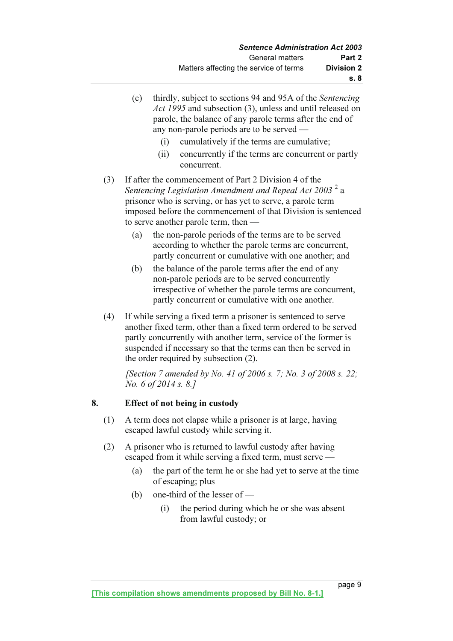|     | (c) | thirdly, subject to sections 94 and 95A of the Sentencing<br>Act 1995 and subsection (3), unless and until released on<br>parole, the balance of any parole terms after the end of<br>any non-parole periods are to be served —<br>cumulatively if the terms are cumulative;<br>(i)<br>concurrently if the terms are concurrent or partly<br>(ii)<br>concurrent. |
|-----|-----|------------------------------------------------------------------------------------------------------------------------------------------------------------------------------------------------------------------------------------------------------------------------------------------------------------------------------------------------------------------|
| (3) |     | If after the commencement of Part 2 Division 4 of the<br>Sentencing Legislation Amendment and Repeal Act 2003 <sup>2</sup> a<br>prisoner who is serving, or has yet to serve, a parole term<br>imposed before the commencement of that Division is sentenced<br>to serve another parole term, then -                                                             |
|     | (a) | the non-parole periods of the terms are to be served<br>according to whether the parole terms are concurrent,<br>partly concurrent or cumulative with one another; and                                                                                                                                                                                           |
|     | (b) | the balance of the parole terms after the end of any<br>non-parole periods are to be served concurrently<br>irrespective of whether the parole terms are concurrent,<br>partly concurrent or cumulative with one another.                                                                                                                                        |
| (4) |     | If while serving a fixed term a prisoner is sentenced to serve<br>another fixed term, other than a fixed term ordered to be served<br>partly concurrently with another term, service of the former is<br>suspended if necessary so that the terms can then be served in<br>the order required by subsection (2).                                                 |
|     |     | [Section 7 amended by No. 41 of 2006 s. 7; No. 3 of 2008 s. 22;<br><i>No.</i> 6 of 2014 s. 8.]                                                                                                                                                                                                                                                                   |

## 8. Effect of not being in custody

- (1) A term does not elapse while a prisoner is at large, having escaped lawful custody while serving it.
- (2) A prisoner who is returned to lawful custody after having escaped from it while serving a fixed term, must serve —
	- (a) the part of the term he or she had yet to serve at the time of escaping; plus
	- (b) one-third of the lesser of
		- (i) the period during which he or she was absent from lawful custody; or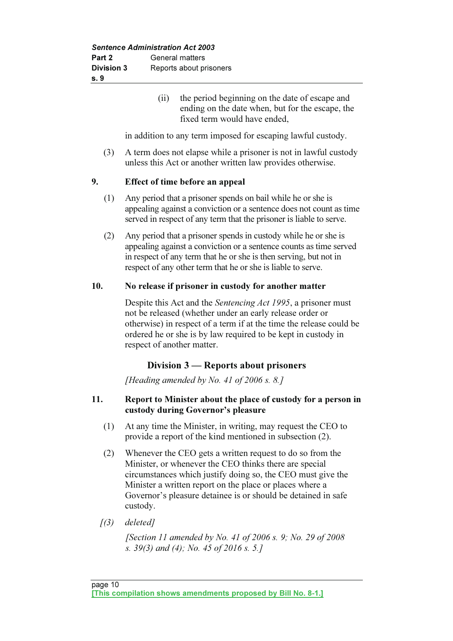(ii) the period beginning on the date of escape and ending on the date when, but for the escape, the fixed term would have ended,

in addition to any term imposed for escaping lawful custody.

 (3) A term does not elapse while a prisoner is not in lawful custody unless this Act or another written law provides otherwise.

## 9. Effect of time before an appeal

- (1) Any period that a prisoner spends on bail while he or she is appealing against a conviction or a sentence does not count as time served in respect of any term that the prisoner is liable to serve.
- (2) Any period that a prisoner spends in custody while he or she is appealing against a conviction or a sentence counts as time served in respect of any term that he or she is then serving, but not in respect of any other term that he or she is liable to serve.

## 10. No release if prisoner in custody for another matter

 Despite this Act and the Sentencing Act 1995, a prisoner must not be released (whether under an early release order or otherwise) in respect of a term if at the time the release could be ordered he or she is by law required to be kept in custody in respect of another matter.

## Division 3 — Reports about prisoners

[Heading amended by No. 41 of 2006 s. 8.]

## 11. Report to Minister about the place of custody for a person in custody during Governor's pleasure

- (1) At any time the Minister, in writing, may request the CEO to provide a report of the kind mentioned in subsection (2).
- (2) Whenever the CEO gets a written request to do so from the Minister, or whenever the CEO thinks there are special circumstances which justify doing so, the CEO must give the Minister a written report on the place or places where a Governor's pleasure detainee is or should be detained in safe custody.
- $(3)$  deleted]

 [Section 11 amended by No. 41 of 2006 s. 9; No. 29 of 2008 s. 39(3) and (4); No. 45 of 2016 s. 5.]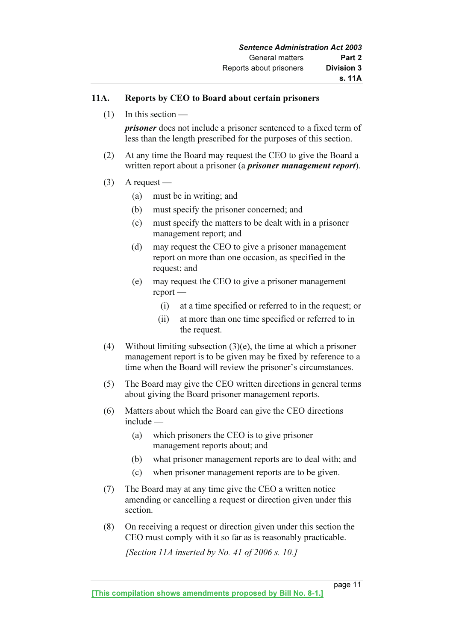## 11A. Reports by CEO to Board about certain prisoners

(1) In this section —

prisoner does not include a prisoner sentenced to a fixed term of less than the length prescribed for the purposes of this section.

- (2) At any time the Board may request the CEO to give the Board a written report about a prisoner (a *prisoner management report*).
- $(3)$  A request
	- (a) must be in writing; and
	- (b) must specify the prisoner concerned; and
	- (c) must specify the matters to be dealt with in a prisoner management report; and
	- (d) may request the CEO to give a prisoner management report on more than one occasion, as specified in the request; and
	- (e) may request the CEO to give a prisoner management report —
		- (i) at a time specified or referred to in the request; or
		- (ii) at more than one time specified or referred to in the request.
- (4) Without limiting subsection  $(3)(e)$ , the time at which a prisoner management report is to be given may be fixed by reference to a time when the Board will review the prisoner's circumstances.
- (5) The Board may give the CEO written directions in general terms about giving the Board prisoner management reports.
- (6) Matters about which the Board can give the CEO directions include —
	- (a) which prisoners the CEO is to give prisoner management reports about; and
	- (b) what prisoner management reports are to deal with; and
	- (c) when prisoner management reports are to be given.
- (7) The Board may at any time give the CEO a written notice amending or cancelling a request or direction given under this section.
- (8) On receiving a request or direction given under this section the CEO must comply with it so far as is reasonably practicable.

[Section 11A inserted by No. 41 of 2006 s. 10.]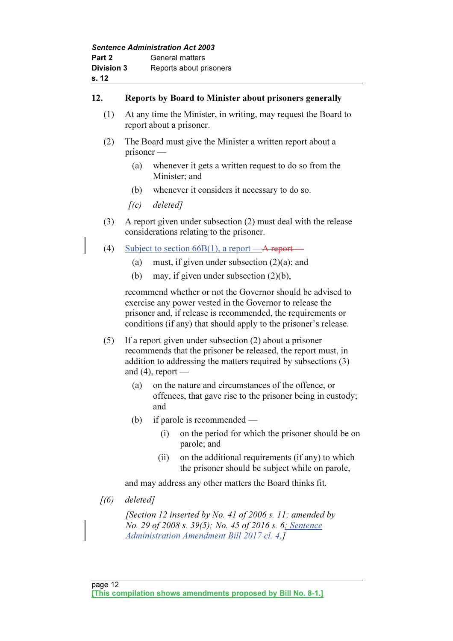| <b>Sentence Administration Act 2003</b> |                         |  |
|-----------------------------------------|-------------------------|--|
| Part 2                                  | General matters         |  |
| <b>Division 3</b>                       | Reports about prisoners |  |
| s. 12                                   |                         |  |

## 12. Reports by Board to Minister about prisoners generally

- (1) At any time the Minister, in writing, may request the Board to report about a prisoner.
- (2) The Board must give the Minister a written report about a prisoner —
	- (a) whenever it gets a written request to do so from the Minister; and
	- (b) whenever it considers it necessary to do so.
	- $[(c)$  deleted]
- (3) A report given under subsection (2) must deal with the release considerations relating to the prisoner.
- (4) Subject to section  $66B(1)$ , a report —A report-
	- (a) must, if given under subsection  $(2)(a)$ ; and
	- (b) may, if given under subsection (2)(b),

 recommend whether or not the Governor should be advised to exercise any power vested in the Governor to release the prisoner and, if release is recommended, the requirements or conditions (if any) that should apply to the prisoner's release.

- (5) If a report given under subsection (2) about a prisoner recommends that the prisoner be released, the report must, in addition to addressing the matters required by subsections (3) and  $(4)$ , report —
	- (a) on the nature and circumstances of the offence, or offences, that gave rise to the prisoner being in custody; and
	- (b) if parole is recommended
		- (i) on the period for which the prisoner should be on parole; and
		- (ii) on the additional requirements (if any) to which the prisoner should be subject while on parole,

and may address any other matters the Board thinks fit.

 $(6)$  deleted]

[Section 12 inserted by No. 41 of 2006 s. 11; amended by No. 29 of 2008 s. 39(5); No. 45 of 2016 s. 6; Sentence Administration Amendment Bill 2017 cl. 4.]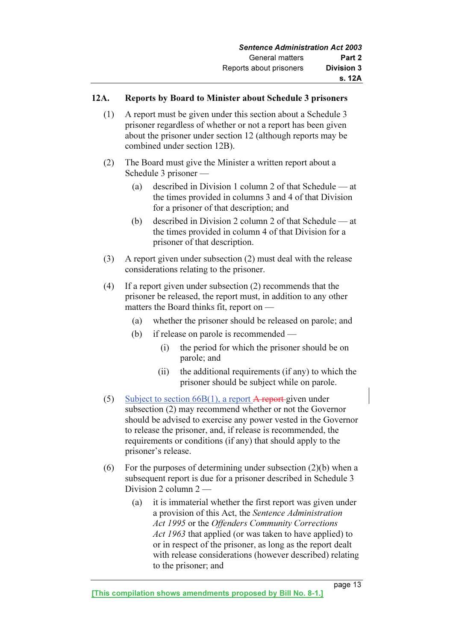## 12A. Reports by Board to Minister about Schedule 3 prisoners

- (1) A report must be given under this section about a Schedule 3 prisoner regardless of whether or not a report has been given about the prisoner under section 12 (although reports may be combined under section 12B).
- (2) The Board must give the Minister a written report about a Schedule 3 prisoner —
	- (a) described in Division 1 column 2 of that Schedule at the times provided in columns 3 and 4 of that Division for a prisoner of that description; and
	- (b) described in Division 2 column 2 of that Schedule at the times provided in column 4 of that Division for a prisoner of that description.
- (3) A report given under subsection (2) must deal with the release considerations relating to the prisoner.
- (4) If a report given under subsection (2) recommends that the prisoner be released, the report must, in addition to any other matters the Board thinks fit, report on —
	- (a) whether the prisoner should be released on parole; and
	- (b) if release on parole is recommended
		- (i) the period for which the prisoner should be on parole; and
		- (ii) the additional requirements (if any) to which the prisoner should be subject while on parole.
- (5) Subject to section  $66B(1)$ , a report A report given under subsection (2) may recommend whether or not the Governor should be advised to exercise any power vested in the Governor to release the prisoner, and, if release is recommended, the requirements or conditions (if any) that should apply to the prisoner's release.
- (6) For the purposes of determining under subsection  $(2)(b)$  when a subsequent report is due for a prisoner described in Schedule 3 Division 2 column 2 —
	- (a) it is immaterial whether the first report was given under a provision of this Act, the Sentence Administration Act 1995 or the Offenders Community Corrections Act 1963 that applied (or was taken to have applied) to or in respect of the prisoner, as long as the report dealt with release considerations (however described) relating to the prisoner; and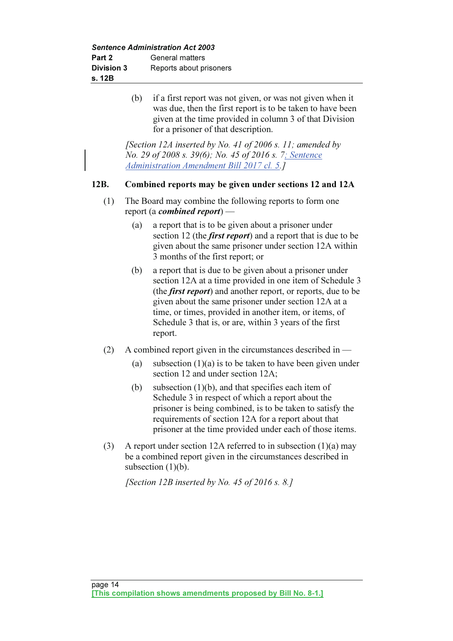Sentence Administration Act 2003

| Part 2            | General matters         |
|-------------------|-------------------------|
| <b>Division 3</b> | Reports about prisoners |
| s. 12B            |                         |

 (b) if a first report was not given, or was not given when it was due, then the first report is to be taken to have been given at the time provided in column 3 of that Division for a prisoner of that description.

[Section 12A inserted by No. 41 of 2006 s. 11; amended by No. 29 of 2008 s. 39(6); No. 45 of 2016 s. 7; Sentence Administration Amendment Bill 2017 cl. 5.]

## 12B. Combined reports may be given under sections 12 and 12A

- (1) The Board may combine the following reports to form one report (a *combined report*) –
	- (a) a report that is to be given about a prisoner under section 12 (the *first report*) and a report that is due to be given about the same prisoner under section 12A within 3 months of the first report; or
	- (b) a report that is due to be given about a prisoner under section 12A at a time provided in one item of Schedule 3 (the first report) and another report, or reports, due to be given about the same prisoner under section 12A at a time, or times, provided in another item, or items, of Schedule 3 that is, or are, within 3 years of the first report.
- (2) A combined report given in the circumstances described in
	- (a) subsection  $(1)(a)$  is to be taken to have been given under section 12 and under section 12A;
	- (b) subsection  $(1)(b)$ , and that specifies each item of Schedule 3 in respect of which a report about the prisoner is being combined, is to be taken to satisfy the requirements of section 12A for a report about that prisoner at the time provided under each of those items.
- (3) A report under section 12A referred to in subsection (1)(a) may be a combined report given in the circumstances described in subsection (1)(b).

[Section 12B inserted by No. 45 of 2016 s. 8.]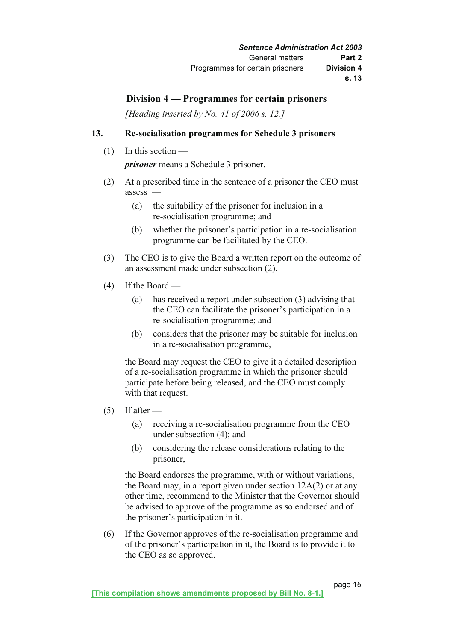## Division 4 — Programmes for certain prisoners

[Heading inserted by No. 41 of 2006 s. 12.]

## 13. Re-socialisation programmes for Schedule 3 prisoners

 $(1)$  In this section —

prisoner means a Schedule 3 prisoner.

- (2) At a prescribed time in the sentence of a prisoner the CEO must assess —
	- (a) the suitability of the prisoner for inclusion in a re-socialisation programme; and
	- (b) whether the prisoner's participation in a re-socialisation programme can be facilitated by the CEO.
- (3) The CEO is to give the Board a written report on the outcome of an assessment made under subsection (2).
- $(4)$  If the Board
	- (a) has received a report under subsection (3) advising that the CEO can facilitate the prisoner's participation in a re-socialisation programme; and
	- (b) considers that the prisoner may be suitable for inclusion in a re-socialisation programme,

 the Board may request the CEO to give it a detailed description of a re-socialisation programme in which the prisoner should participate before being released, and the CEO must comply with that request.

- $(5)$  If after
	- (a) receiving a re-socialisation programme from the CEO under subsection (4); and
	- (b) considering the release considerations relating to the prisoner,

 the Board endorses the programme, with or without variations, the Board may, in a report given under section 12A(2) or at any other time, recommend to the Minister that the Governor should be advised to approve of the programme as so endorsed and of the prisoner's participation in it.

 (6) If the Governor approves of the re-socialisation programme and of the prisoner's participation in it, the Board is to provide it to the CEO as so approved.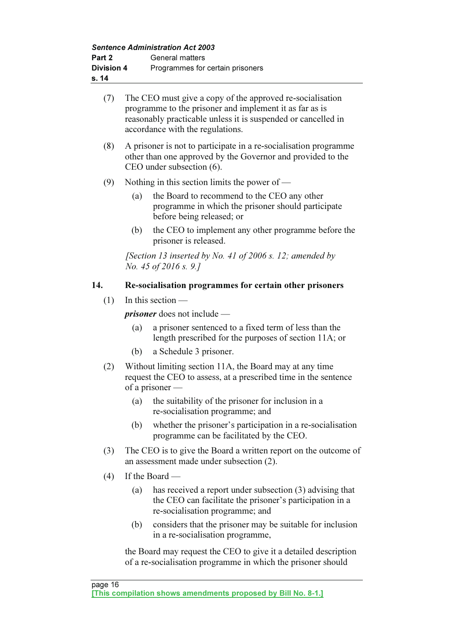Sentence Administration Act 2003

| Part 2            |     | Sentence Administration Act 2003<br>General matters                                                                                                                                                                       |
|-------------------|-----|---------------------------------------------------------------------------------------------------------------------------------------------------------------------------------------------------------------------------|
| <b>Division 4</b> |     | Programmes for certain prisoners                                                                                                                                                                                          |
| s. 14             |     |                                                                                                                                                                                                                           |
| (7)               |     | The CEO must give a copy of the approved re-socialisation<br>programme to the prisoner and implement it as far as is<br>reasonably practicable unless it is suspended or cancelled in<br>accordance with the regulations. |
| (8)               |     | A prisoner is not to participate in a re-socialisation programme<br>other than one approved by the Governor and provided to the<br>CEO under subsection (6).                                                              |
| (9)               |     | Nothing in this section limits the power of $-$                                                                                                                                                                           |
|                   | (a) | the Board to recommend to the CEO any other<br>programme in which the prisoner should participate<br>before being released; or                                                                                            |
|                   | (b) | the CEO to implement any other programme before the<br>prisoner is released.                                                                                                                                              |
|                   |     | [Section 13 inserted by No. 41 of 2006 s. 12; amended by<br><i>No.</i> 45 of 2016 s. 9.]                                                                                                                                  |
| 14.               |     | Re-socialisation programmes for certain other prisoners                                                                                                                                                                   |
| (1)               |     | In this section $-$                                                                                                                                                                                                       |
|                   |     | <i>prisoner</i> does not include —                                                                                                                                                                                        |
|                   | (a) | a prisoner sentenced to a fixed term of less than the<br>length prescribed for the purposes of section 11A; or                                                                                                            |
|                   | (b) | a Schedule 3 prisoner.                                                                                                                                                                                                    |
| (2)               |     | Without limiting section 11A, the Board may at any time<br>request the CEO to assess, at a prescribed time in the sentence<br>of a prisoner $-$                                                                           |
|                   | (a) | the suitability of the prisoner for inclusion in a<br>re-socialisation programme; and                                                                                                                                     |
|                   | (b) | whether the prisoner's participation in a re-socialisation<br>programme can be facilitated by the CEO.                                                                                                                    |
| (3)               |     | The CEO is to give the Board a written report on the outcome of<br>an assessment made under subsection (2).                                                                                                               |
| (4)               |     | If the Board —                                                                                                                                                                                                            |
|                   | (a) | has received a report under subsection (3) advising that<br>the CEO can facilitate the prisoner's participation in a<br>re-socialisation programme; and                                                                   |

 (b) considers that the prisoner may be suitable for inclusion in a re-socialisation programme,

 the Board may request the CEO to give it a detailed description of a re-socialisation programme in which the prisoner should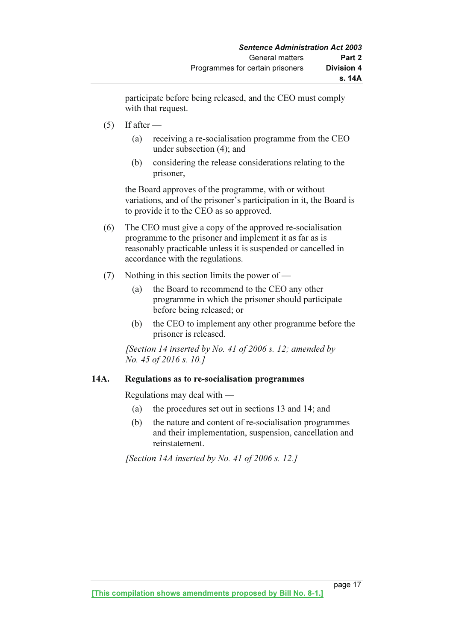participate before being released, and the CEO must comply with that request.

- $(5)$  If after
	- (a) receiving a re-socialisation programme from the CEO under subsection (4); and
	- (b) considering the release considerations relating to the prisoner,

 the Board approves of the programme, with or without variations, and of the prisoner's participation in it, the Board is to provide it to the CEO as so approved.

- (6) The CEO must give a copy of the approved re-socialisation programme to the prisoner and implement it as far as is reasonably practicable unless it is suspended or cancelled in accordance with the regulations.
- (7) Nothing in this section limits the power of
	- (a) the Board to recommend to the CEO any other programme in which the prisoner should participate before being released; or
	- (b) the CEO to implement any other programme before the prisoner is released.

[Section 14 inserted by No. 41 of 2006 s. 12; amended by No. 45 of 2016 s. 10.]

## 14A. Regulations as to re-socialisation programmes

Regulations may deal with —

- (a) the procedures set out in sections 13 and 14; and
- (b) the nature and content of re-socialisation programmes and their implementation, suspension, cancellation and reinstatement.

[Section 14A inserted by No. 41 of 2006 s. 12.]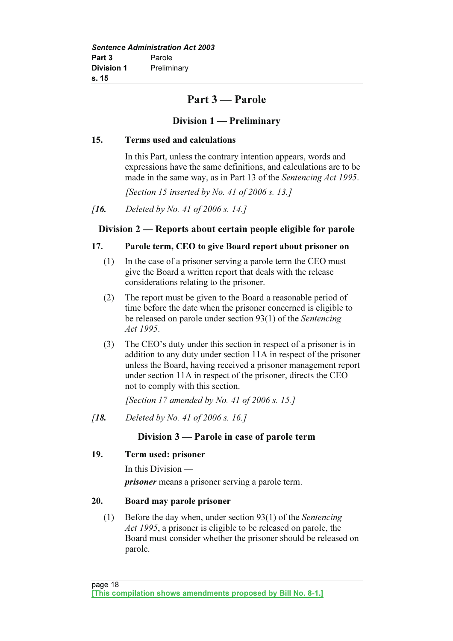## Part 3 — Parole

## Division 1 — Preliminary

## 15. Terms used and calculations

 In this Part, unless the contrary intention appears, words and expressions have the same definitions, and calculations are to be made in the same way, as in Part 13 of the Sentencing Act 1995.

[Section 15 inserted by No. 41 of 2006 s. 13.]

## Division 2 — Reports about certain people eligible for parole

## 17. Parole term, CEO to give Board report about prisoner on

- (1) In the case of a prisoner serving a parole term the CEO must give the Board a written report that deals with the release considerations relating to the prisoner.
- (2) The report must be given to the Board a reasonable period of time before the date when the prisoner concerned is eligible to be released on parole under section 93(1) of the Sentencing Act 1995.
- (3) The CEO's duty under this section in respect of a prisoner is in addition to any duty under section 11A in respect of the prisoner unless the Board, having received a prisoner management report under section 11A in respect of the prisoner, directs the CEO not to comply with this section.

[Section 17 amended by No. 41 of 2006 s. 15.]

[18. Deleted by No. 41 of 2006 s. 16.]

## Division 3 — Parole in case of parole term

## 19. Term used: prisoner

In this Division —

*prisoner* means a prisoner serving a parole term.

## 20. Board may parole prisoner

 (1) Before the day when, under section 93(1) of the Sentencing Act 1995, a prisoner is eligible to be released on parole, the Board must consider whether the prisoner should be released on parole.

<sup>[</sup>**16.** Deleted by No. 41 of 2006 s. 14.]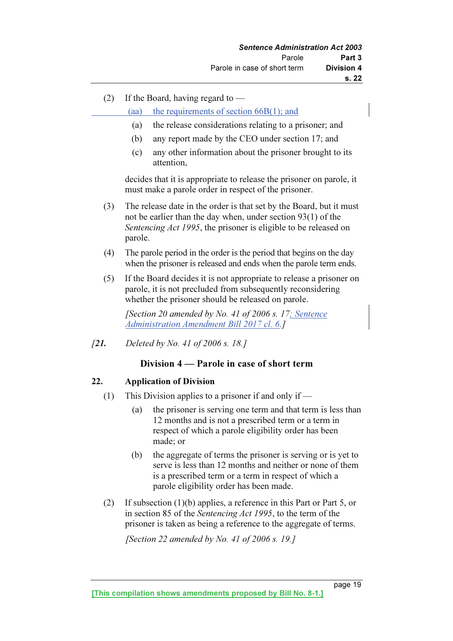(2) If the Board, having regard to —

(aa) the requirements of section 66B(1); and

- (a) the release considerations relating to a prisoner; and
- (b) any report made by the CEO under section 17; and
- (c) any other information about the prisoner brought to its attention,

 decides that it is appropriate to release the prisoner on parole, it must make a parole order in respect of the prisoner.

- (3) The release date in the order is that set by the Board, but it must not be earlier than the day when, under section 93(1) of the Sentencing Act 1995, the prisoner is eligible to be released on parole.
- (4) The parole period in the order is the period that begins on the day when the prisoner is released and ends when the parole term ends.
- (5) If the Board decides it is not appropriate to release a prisoner on parole, it is not precluded from subsequently reconsidering whether the prisoner should be released on parole.

[Section 20 amended by No. 41 of 2006 s. 17; Sentence Administration Amendment Bill 2017 cl. 6.]

[21. Deleted by No. 41 of 2006 s. 18.]

## Division 4 — Parole in case of short term

## 22. Application of Division

- (1) This Division applies to a prisoner if and only if
	- (a) the prisoner is serving one term and that term is less than 12 months and is not a prescribed term or a term in respect of which a parole eligibility order has been made; or
	- (b) the aggregate of terms the prisoner is serving or is yet to serve is less than 12 months and neither or none of them is a prescribed term or a term in respect of which a parole eligibility order has been made.
- (2) If subsection (1)(b) applies, a reference in this Part or Part 5, or in section 85 of the Sentencing Act 1995, to the term of the prisoner is taken as being a reference to the aggregate of terms.

[Section 22 amended by No. 41 of 2006 s. 19.]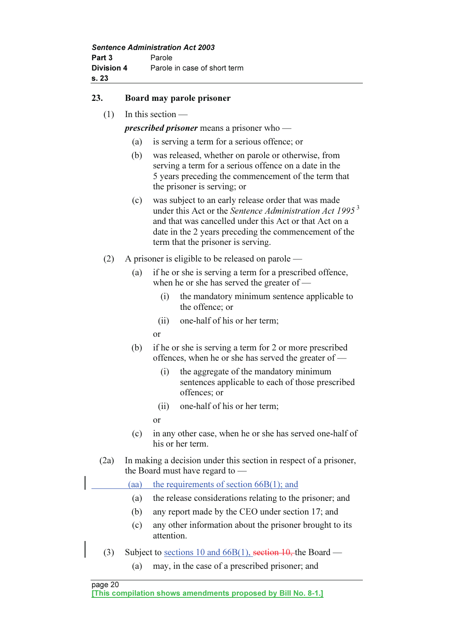Sentence Administration Act 2003 Part 3 Parole Division 4 Parole in case of short term s. 23

## 23. Board may parole prisoner

(1) In this section —

prescribed prisoner means a prisoner who —

- (a) is serving a term for a serious offence; or
- (b) was released, whether on parole or otherwise, from serving a term for a serious offence on a date in the 5 years preceding the commencement of the term that the prisoner is serving; or
- (c) was subject to an early release order that was made under this Act or the Sentence Administration Act  $1995^3$ and that was cancelled under this Act or that Act on a date in the 2 years preceding the commencement of the term that the prisoner is serving.
- (2) A prisoner is eligible to be released on parole
	- (a) if he or she is serving a term for a prescribed offence, when he or she has served the greater of —
		- (i) the mandatory minimum sentence applicable to the offence; or
		- (ii) one-half of his or her term;
- or
	- (b) if he or she is serving a term for 2 or more prescribed offences, when he or she has served the greater of —
		- (i) the aggregate of the mandatory minimum sentences applicable to each of those prescribed offences; or
		- (ii) one-half of his or her term;
		- or
	- (c) in any other case, when he or she has served one-half of his or her term.
	- (2a) In making a decision under this section in respect of a prisoner, the Board must have regard to —

(aa) the requirements of section 66B(1); and

- (a) the release considerations relating to the prisoner; and
- (b) any report made by the CEO under section 17; and
- (c) any other information about the prisoner brought to its attention.
- (3) Subject to sections 10 and 66B(1), section  $10$ , the Board
	- (a) may, in the case of a prescribed prisoner; and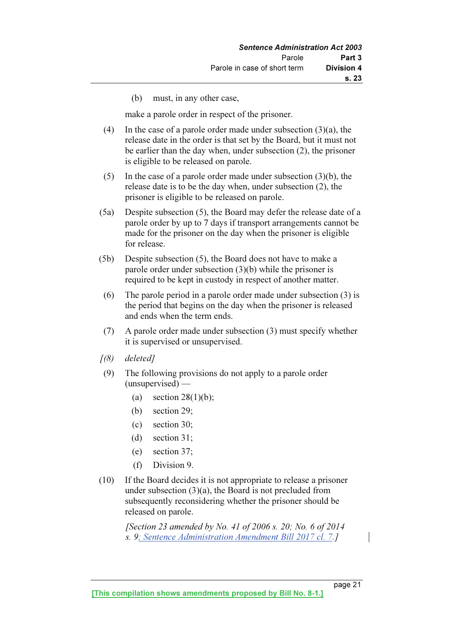(b) must, in any other case,

make a parole order in respect of the prisoner.

- (4) In the case of a parole order made under subsection (3)(a), the release date in the order is that set by the Board, but it must not be earlier than the day when, under subsection (2), the prisoner is eligible to be released on parole.
- (5) In the case of a parole order made under subsection (3)(b), the release date is to be the day when, under subsection (2), the prisoner is eligible to be released on parole.
- (5a) Despite subsection (5), the Board may defer the release date of a parole order by up to 7 days if transport arrangements cannot be made for the prisoner on the day when the prisoner is eligible for release.
- (5b) Despite subsection (5), the Board does not have to make a parole order under subsection (3)(b) while the prisoner is required to be kept in custody in respect of another matter.
- (6) The parole period in a parole order made under subsection (3) is the period that begins on the day when the prisoner is released and ends when the term ends.
- (7) A parole order made under subsection (3) must specify whether it is supervised or unsupervised.
- $(8)$  deleted]
- (9) The following provisions do not apply to a parole order (unsupervised) —
	- (a) section  $28(1)(b)$ ;
	- (b) section 29;
	- (c) section 30;
	- (d) section 31;
	- (e) section 37;
	- (f) Division 9.
- (10) If the Board decides it is not appropriate to release a prisoner under subsection (3)(a), the Board is not precluded from subsequently reconsidering whether the prisoner should be released on parole.

[Section 23 amended by No. 41 of 2006 s. 20; No. 6 of 2014] s. 9; Sentence Administration Amendment Bill 2017 cl. 7.]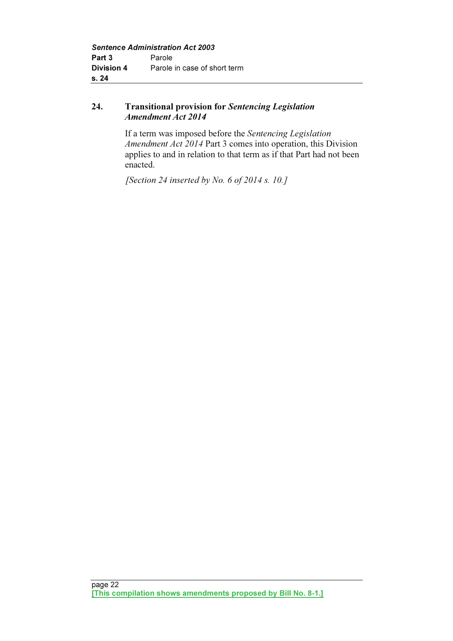## 24. Transitional provision for Sentencing Legislation Amendment Act 2014

 If a term was imposed before the Sentencing Legislation Amendment Act 2014 Part 3 comes into operation, this Division applies to and in relation to that term as if that Part had not been enacted.

[Section 24 inserted by No. 6 of 2014 s. 10.]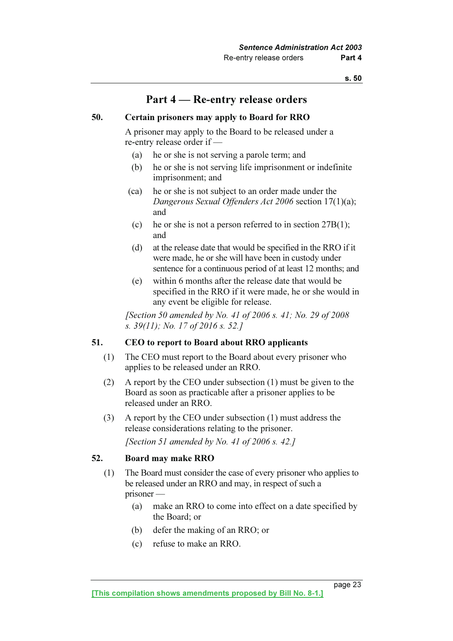## Part 4 — Re-entry release orders

## 50. Certain prisoners may apply to Board for RRO

 A prisoner may apply to the Board to be released under a re-entry release order if —

- (a) he or she is not serving a parole term; and
- (b) he or she is not serving life imprisonment or indefinite imprisonment; and
- (ca) he or she is not subject to an order made under the Dangerous Sexual Offenders Act 2006 section 17(1)(a); and
- (c) he or she is not a person referred to in section  $27B(1)$ ; and
- (d) at the release date that would be specified in the RRO if it were made, he or she will have been in custody under sentence for a continuous period of at least 12 months; and
- (e) within 6 months after the release date that would be specified in the RRO if it were made, he or she would in any event be eligible for release.

[Section 50 amended by No. 41 of 2006 s. 41; No. 29 of 2008] s. 39(11); No. 17 of 2016 s. 52.]

## 51. CEO to report to Board about RRO applicants

- (1) The CEO must report to the Board about every prisoner who applies to be released under an RRO.
- (2) A report by the CEO under subsection (1) must be given to the Board as soon as practicable after a prisoner applies to be released under an RRO.
- (3) A report by the CEO under subsection (1) must address the release considerations relating to the prisoner.

[Section 51 amended by No. 41 of 2006 s. 42.]

## 52. Board may make RRO

- (1) The Board must consider the case of every prisoner who applies to be released under an RRO and may, in respect of such a prisoner —
	- (a) make an RRO to come into effect on a date specified by the Board; or
	- (b) defer the making of an RRO; or
	- (c) refuse to make an RRO.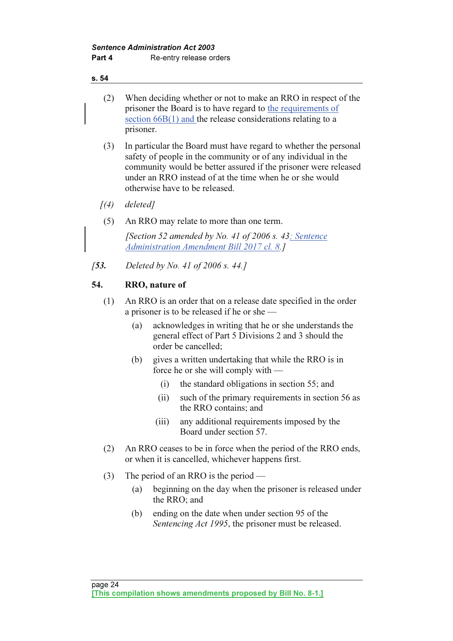- (2) When deciding whether or not to make an RRO in respect of the prisoner the Board is to have regard to the requirements of section  $66B(1)$  and the release considerations relating to a prisoner.
- (3) In particular the Board must have regard to whether the personal safety of people in the community or of any individual in the community would be better assured if the prisoner were released under an RRO instead of at the time when he or she would otherwise have to be released.
- $(4)$  deleted]
- (5) An RRO may relate to more than one term.

[Section 52 amended by No. 41 of 2006 s. 43; Sentence Administration Amendment Bill 2017 cl. 8.]

[53. Deleted by No. 41 of 2006 s. 44.]

## 54. RRO, nature of

- (1) An RRO is an order that on a release date specified in the order a prisoner is to be released if he or she —
	- (a) acknowledges in writing that he or she understands the general effect of Part 5 Divisions 2 and 3 should the order be cancelled;
	- (b) gives a written undertaking that while the RRO is in force he or she will comply with —
		- (i) the standard obligations in section 55; and
		- (ii) such of the primary requirements in section 56 as the RRO contains; and
		- (iii) any additional requirements imposed by the Board under section 57.
- (2) An RRO ceases to be in force when the period of the RRO ends, or when it is cancelled, whichever happens first.
- (3) The period of an RRO is the period
	- (a) beginning on the day when the prisoner is released under the RRO; and
	- (b) ending on the date when under section 95 of the Sentencing Act 1995, the prisoner must be released.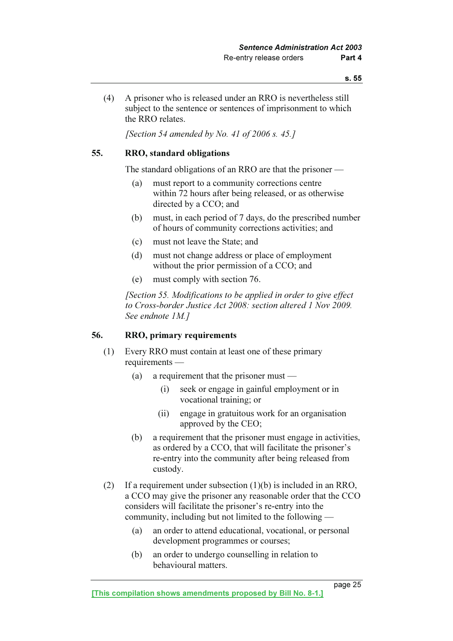(4) A prisoner who is released under an RRO is nevertheless still subject to the sentence or sentences of imprisonment to which the RRO relates.

[Section 54 amended by No. 41 of 2006 s. 45.]

### 55. RRO, standard obligations

The standard obligations of an RRO are that the prisoner —

- (a) must report to a community corrections centre within 72 hours after being released, or as otherwise directed by a CCO; and
- (b) must, in each period of 7 days, do the prescribed number of hours of community corrections activities; and
- (c) must not leave the State; and
- (d) must not change address or place of employment without the prior permission of a CCO; and
- (e) must comply with section 76.

 [Section 55. Modifications to be applied in order to give effect to Cross-border Justice Act 2008: section altered 1 Nov 2009. See endnote 1M.]

### 56. RRO, primary requirements

- (1) Every RRO must contain at least one of these primary requirements —
	- (a) a requirement that the prisoner must
		- (i) seek or engage in gainful employment or in vocational training; or
		- (ii) engage in gratuitous work for an organisation approved by the CEO;
	- (b) a requirement that the prisoner must engage in activities, as ordered by a CCO, that will facilitate the prisoner's re-entry into the community after being released from custody.
- (2) If a requirement under subsection (1)(b) is included in an RRO, a CCO may give the prisoner any reasonable order that the CCO considers will facilitate the prisoner's re-entry into the community, including but not limited to the following —
	- (a) an order to attend educational, vocational, or personal development programmes or courses;
	- (b) an order to undergo counselling in relation to behavioural matters.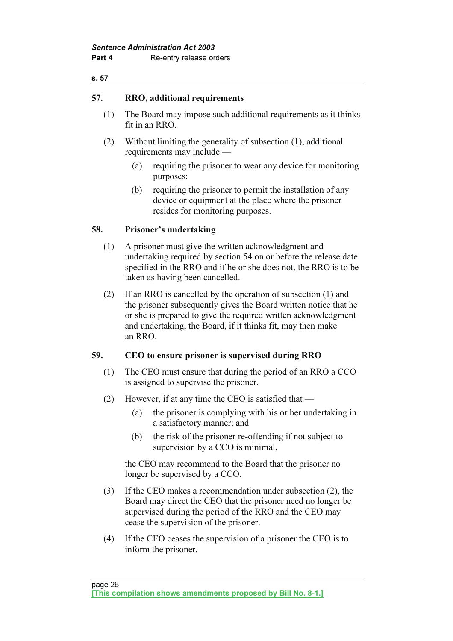## 57. RRO, additional requirements

- (1) The Board may impose such additional requirements as it thinks fit in an RRO.
- (2) Without limiting the generality of subsection (1), additional requirements may include —
	- (a) requiring the prisoner to wear any device for monitoring purposes;
	- (b) requiring the prisoner to permit the installation of any device or equipment at the place where the prisoner resides for monitoring purposes.

## 58. Prisoner's undertaking

- (1) A prisoner must give the written acknowledgment and undertaking required by section 54 on or before the release date specified in the RRO and if he or she does not, the RRO is to be taken as having been cancelled.
- (2) If an RRO is cancelled by the operation of subsection (1) and the prisoner subsequently gives the Board written notice that he or she is prepared to give the required written acknowledgment and undertaking, the Board, if it thinks fit, may then make an RRO.

## 59. CEO to ensure prisoner is supervised during RRO

- (1) The CEO must ensure that during the period of an RRO a CCO is assigned to supervise the prisoner.
- (2) However, if at any time the CEO is satisfied that
	- (a) the prisoner is complying with his or her undertaking in a satisfactory manner; and
	- (b) the risk of the prisoner re-offending if not subject to supervision by a CCO is minimal.

 the CEO may recommend to the Board that the prisoner no longer be supervised by a CCO.

- (3) If the CEO makes a recommendation under subsection (2), the Board may direct the CEO that the prisoner need no longer be supervised during the period of the RRO and the CEO may cease the supervision of the prisoner.
- (4) If the CEO ceases the supervision of a prisoner the CEO is to inform the prisoner.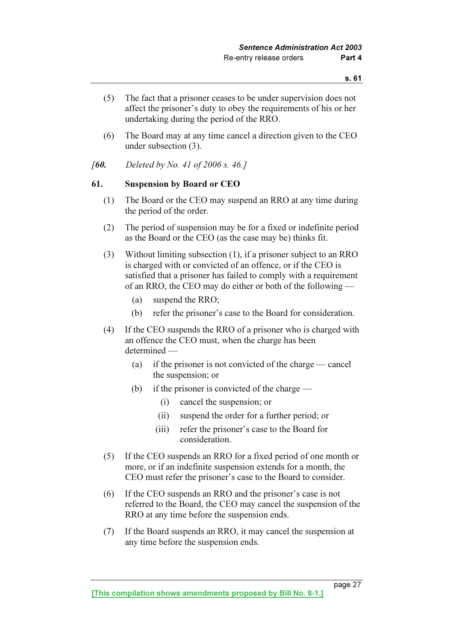- (5) The fact that a prisoner ceases to be under supervision does not affect the prisoner's duty to obey the requirements of his or her undertaking during the period of the RRO.
- (6) The Board may at any time cancel a direction given to the CEO under subsection (3).
- [60. Deleted by No. 41 of 2006 s. 46.]

### 61. Suspension by Board or CEO

- (1) The Board or the CEO may suspend an RRO at any time during the period of the order.
- (2) The period of suspension may be for a fixed or indefinite period as the Board or the CEO (as the case may be) thinks fit.
- (3) Without limiting subsection (1), if a prisoner subject to an RRO is charged with or convicted of an offence, or if the CEO is satisfied that a prisoner has failed to comply with a requirement of an RRO, the CEO may do either or both of the following —
	- (a) suspend the RRO;
	- (b) refer the prisoner's case to the Board for consideration.
- (4) If the CEO suspends the RRO of a prisoner who is charged with an offence the CEO must, when the charge has been determined —
	- (a) if the prisoner is not convicted of the charge cancel the suspension; or
	- (b) if the prisoner is convicted of the charge  $-$ 
		- (i) cancel the suspension; or
		- (ii) suspend the order for a further period; or
		- (iii) refer the prisoner's case to the Board for consideration.
- (5) If the CEO suspends an RRO for a fixed period of one month or more, or if an indefinite suspension extends for a month, the CEO must refer the prisoner's case to the Board to consider.
- (6) If the CEO suspends an RRO and the prisoner's case is not referred to the Board, the CEO may cancel the suspension of the RRO at any time before the suspension ends.
- (7) If the Board suspends an RRO, it may cancel the suspension at any time before the suspension ends.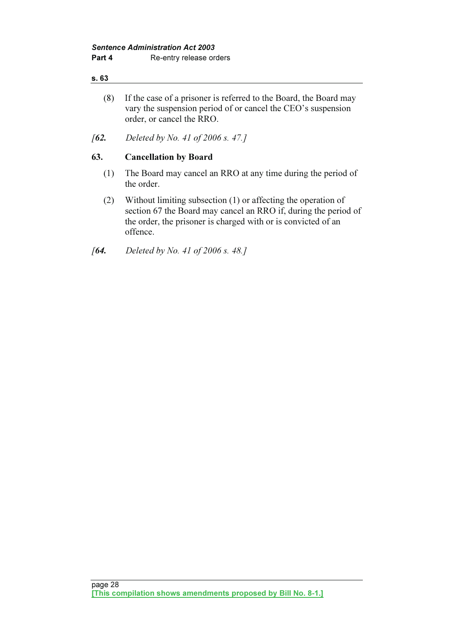- (8) If the case of a prisoner is referred to the Board, the Board may vary the suspension period of or cancel the CEO's suspension order, or cancel the RRO.
- [62. Deleted by No. 41 of 2006 s. 47.]

## 63. Cancellation by Board

- (1) The Board may cancel an RRO at any time during the period of the order.
- (2) Without limiting subsection (1) or affecting the operation of section 67 the Board may cancel an RRO if, during the period of the order, the prisoner is charged with or is convicted of an offence.

## [**64.** Deleted by No. 41 of 2006 s. 48.]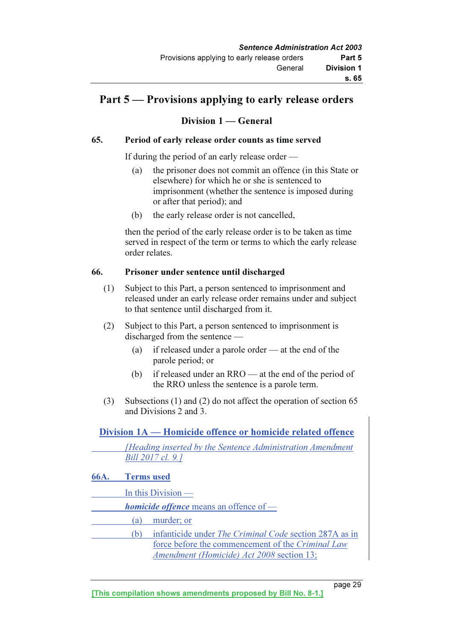## Part 5 — Provisions applying to early release orders

## Division 1 — General

## 65. Period of early release order counts as time served

If during the period of an early release order —

- (a) the prisoner does not commit an offence (in this State or elsewhere) for which he or she is sentenced to imprisonment (whether the sentence is imposed during or after that period); and
- (b) the early release order is not cancelled,

 then the period of the early release order is to be taken as time served in respect of the term or terms to which the early release order relates.

## 66. Prisoner under sentence until discharged

- (1) Subject to this Part, a person sentenced to imprisonment and released under an early release order remains under and subject to that sentence until discharged from it.
- (2) Subject to this Part, a person sentenced to imprisonment is discharged from the sentence —
	- (a) if released under a parole order at the end of the parole period; or
	- (b) if released under an RRO at the end of the period of the RRO unless the sentence is a parole term.
- (3) Subsections (1) and (2) do not affect the operation of section 65 and Divisions 2 and 3.

## Division 1A — Homicide offence or homicide related offence

 [Heading inserted by the Sentence Administration Amendment Bill 2017 cl. 9.]

- 66A. Terms used
	- In this Division —
- homicide offence means an offence of
	- (a) murder; or
- (b) infanticide under The Criminal Code section 287A as in force before the commencement of the Criminal Law Amendment (Homicide) Act 2008 section 13;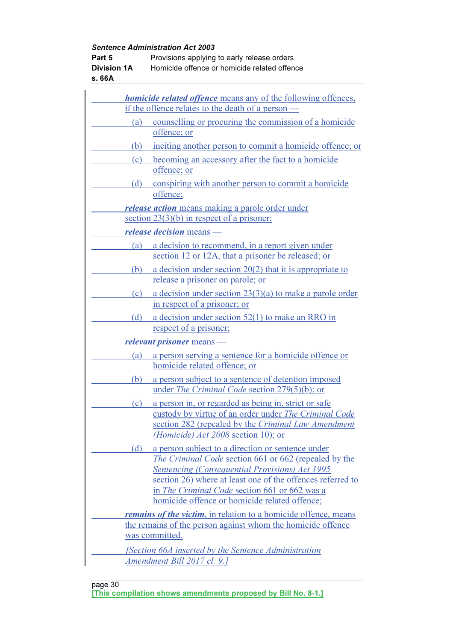| Part 5<br><b>Division 1A</b><br>s. 66A |     | <b>Sentence Administration Act 2003</b><br>Provisions applying to early release orders<br>Homicide offence or homicide related offence                                                                                                                                                                                       |
|----------------------------------------|-----|------------------------------------------------------------------------------------------------------------------------------------------------------------------------------------------------------------------------------------------------------------------------------------------------------------------------------|
|                                        |     |                                                                                                                                                                                                                                                                                                                              |
|                                        |     | <i>homicide related offence</i> means any of the following offences,<br>if the offence relates to the death of a person -                                                                                                                                                                                                    |
|                                        | (a) | counselling or procuring the commission of a homicide                                                                                                                                                                                                                                                                        |
|                                        |     | offence; or                                                                                                                                                                                                                                                                                                                  |
|                                        | (b) | inciting another person to commit a homicide offence; or                                                                                                                                                                                                                                                                     |
|                                        | (c) | becoming an accessory after the fact to a homicide<br>offence; or                                                                                                                                                                                                                                                            |
|                                        | (d) | conspiring with another person to commit a homicide<br>offence:                                                                                                                                                                                                                                                              |
|                                        |     | <i>release action</i> means making a parole order under<br>section $23(3)(b)$ in respect of a prisoner;                                                                                                                                                                                                                      |
|                                        |     | <i>release decision</i> means —                                                                                                                                                                                                                                                                                              |
|                                        | (a) | a decision to recommend, in a report given under<br>section 12 or 12A, that a prisoner be released; or                                                                                                                                                                                                                       |
|                                        | (b) | a decision under section $20(2)$ that it is appropriate to                                                                                                                                                                                                                                                                   |
|                                        |     | release a prisoner on parole; or                                                                                                                                                                                                                                                                                             |
|                                        | (c) | a decision under section $23(3)(a)$ to make a parole order<br>in respect of a prisoner; or                                                                                                                                                                                                                                   |
|                                        | (d) | a decision under section $52(1)$ to make an RRO in<br>respect of a prisoner;                                                                                                                                                                                                                                                 |
|                                        |     | relevant prisoner means —                                                                                                                                                                                                                                                                                                    |
|                                        | (a) | a person serving a sentence for a homicide offence or<br>homicide related offence; or                                                                                                                                                                                                                                        |
|                                        | (b) | a person subject to a sentence of detention imposed<br>under <i>The Criminal Code</i> section 279(5)(b); or                                                                                                                                                                                                                  |
|                                        | (c) | a person in, or regarded as being in, strict or safe                                                                                                                                                                                                                                                                         |
|                                        |     | custody by virtue of an order under The Criminal Code<br>section 282 (repealed by the Criminal Law Amendment<br>(Homicide) Act 2008 section 10); or                                                                                                                                                                          |
|                                        | (d) | a person subject to a direction or sentence under<br>The Criminal Code section 661 or 662 (repealed by the<br>Sentencing (Consequential Provisions) Act 1995<br>section 26) where at least one of the offences referred to<br>in The Criminal Code section 661 or 662 was a<br>homicide offence or homicide related offence; |
|                                        |     | <i>remains of the victim</i> , in relation to a homicide offence, means                                                                                                                                                                                                                                                      |
|                                        |     | the remains of the person against whom the homicide offence<br>was committed.                                                                                                                                                                                                                                                |
|                                        |     | <i>Section 66A inserted by the Sentence Administration</i><br><u>Amendment Bill 2017 cl. 9.]</u>                                                                                                                                                                                                                             |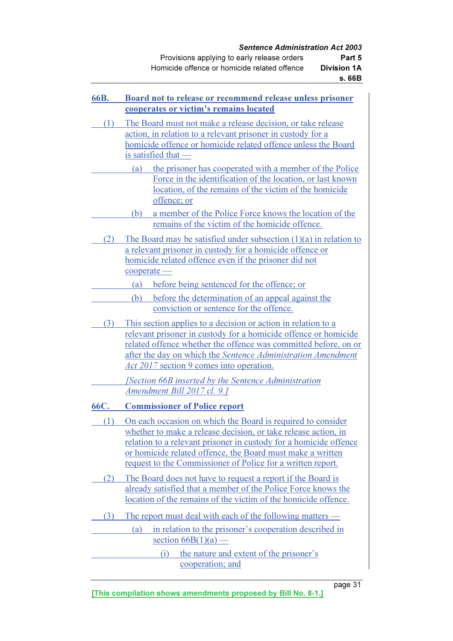| Provisions applying to early release orders  | Part 5             |
|----------------------------------------------|--------------------|
| Homicide offence or homicide related offence | <b>Division 1A</b> |
|                                              | s. 66B             |

| 66B.         | Board not to release or recommend release unless prisoner<br>cooperates or victim's remains located                                                                                                                                                                                                                             |  |  |  |
|--------------|---------------------------------------------------------------------------------------------------------------------------------------------------------------------------------------------------------------------------------------------------------------------------------------------------------------------------------|--|--|--|
| (1)          | The Board must not make a release decision, or take release<br>action, in relation to a relevant prisoner in custody for a<br>homicide offence or homicide related offence unless the Board<br><u>is satisfied that —</u>                                                                                                       |  |  |  |
|              | the prisoner has cooperated with a member of the Police<br>(a)<br>Force in the identification of the location, or last known<br>location, of the remains of the victim of the homicide<br>offence; or                                                                                                                           |  |  |  |
|              | a member of the Police Force knows the location of the<br>(b)<br>remains of the victim of the homicide offence.                                                                                                                                                                                                                 |  |  |  |
| $\mathbf{2}$ | The Board may be satisfied under subsection $(1)(a)$ in relation to<br>a relevant prisoner in custody for a homicide offence or<br>homicide related offence even if the prisoner did not<br>cooperate -                                                                                                                         |  |  |  |
|              | before being sentenced for the offence; or<br>(a)                                                                                                                                                                                                                                                                               |  |  |  |
|              | (b)<br>before the determination of an appeal against the<br>conviction or sentence for the offence.                                                                                                                                                                                                                             |  |  |  |
| (3)          | This section applies to a decision or action in relation to a<br>relevant prisoner in custody for a homicide offence or homicide<br>related offence whether the offence was committed before, on or<br>after the day on which the Sentence Administration Amendment<br><i><u>Act 2017</u></i> section 9 comes into operation.   |  |  |  |
|              | <b>Section 66B inserted by the Sentence Administration</b><br>Amendment Bill 2017 cl. 9.]                                                                                                                                                                                                                                       |  |  |  |
| 66C.         | <b>Commissioner of Police report</b>                                                                                                                                                                                                                                                                                            |  |  |  |
| (1)          | On each occasion on which the Board is required to consider<br>whether to make a release decision, or take release action, in<br>relation to a relevant prisoner in custody for a homicide offence<br>or homicide related offence, the Board must make a written<br>request to the Commissioner of Police for a written report. |  |  |  |
| $\mathbf{2}$ | The Board does not have to request a report if the Board is<br>already satisfied that a member of the Police Force knows the<br>location of the remains of the victim of the homicide offence.                                                                                                                                  |  |  |  |
| (3)          | The report must deal with each of the following matters —                                                                                                                                                                                                                                                                       |  |  |  |
|              | in relation to the prisoner's cooperation described in<br>(a)<br>section $66B(1)(a)$ —                                                                                                                                                                                                                                          |  |  |  |
|              | the nature and extent of the prisoner's<br>(i)<br>cooperation; and                                                                                                                                                                                                                                                              |  |  |  |

page 31 and 21 and 21 and 22 and 23 and 24 and 25 and 26 and 26 and 26 and 26 and 26 and 26 and 26 and 26 and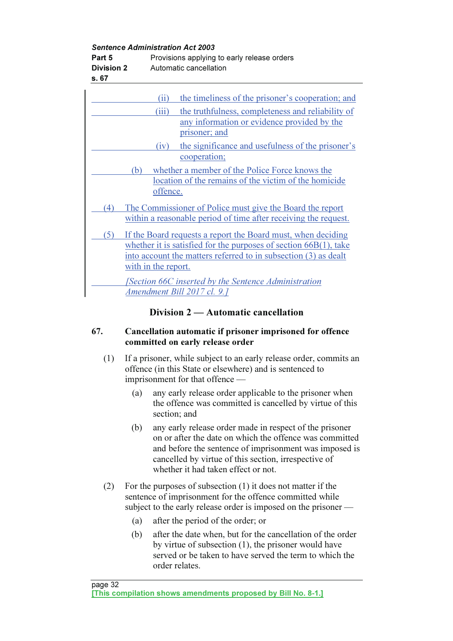Sentence Administration Act 2003

| Part 5            | Provisions applying to early release orders |
|-------------------|---------------------------------------------|
| <b>Division 2</b> | Automatic cancellation                      |

s. 67

|                  | (ii)                                                                                                                                                                                                                                                                                  | the timeliness of the prisoner's cooperation; and               |
|------------------|---------------------------------------------------------------------------------------------------------------------------------------------------------------------------------------------------------------------------------------------------------------------------------------|-----------------------------------------------------------------|
|                  | (iii)                                                                                                                                                                                                                                                                                 | the truthfulness, completeness and reliability of               |
|                  |                                                                                                                                                                                                                                                                                       | any information or evidence provided by the                     |
|                  |                                                                                                                                                                                                                                                                                       | prisoner; and                                                   |
|                  | (iv)                                                                                                                                                                                                                                                                                  | the significance and usefulness of the prisoner's               |
|                  |                                                                                                                                                                                                                                                                                       | cooperation;                                                    |
|                  | (b)                                                                                                                                                                                                                                                                                   | whether a member of the Police Force knows the                  |
|                  |                                                                                                                                                                                                                                                                                       | location of the remains of the victim of the homicide           |
|                  | offence.                                                                                                                                                                                                                                                                              |                                                                 |
|                  |                                                                                                                                                                                                                                                                                       |                                                                 |
| $\left(4\right)$ |                                                                                                                                                                                                                                                                                       | The Commissioner of Police must give the Board the report       |
|                  |                                                                                                                                                                                                                                                                                       | within a reasonable period of time after receiving the request. |
| (5)              | If the Board requests a report the Board must, when deciding<br>whether it is satisfied for the purposes of section $66B(1)$ , take<br>into account the matters referred to in subsection (3) as dealt<br>with in the report.<br>[Section 66C inserted by the Sentence Administration |                                                                 |
|                  |                                                                                                                                                                                                                                                                                       | <u>Amendment Bill 2017 cl. 9.]</u>                              |

## Division 2 — Automatic cancellation

## 67. Cancellation automatic if prisoner imprisoned for offence committed on early release order

- (1) If a prisoner, while subject to an early release order, commits an offence (in this State or elsewhere) and is sentenced to imprisonment for that offence —
	- (a) any early release order applicable to the prisoner when the offence was committed is cancelled by virtue of this section; and
	- (b) any early release order made in respect of the prisoner on or after the date on which the offence was committed and before the sentence of imprisonment was imposed is cancelled by virtue of this section, irrespective of whether it had taken effect or not.
- (2) For the purposes of subsection (1) it does not matter if the sentence of imprisonment for the offence committed while subject to the early release order is imposed on the prisoner —
	- (a) after the period of the order; or
	- (b) after the date when, but for the cancellation of the order by virtue of subsection (1), the prisoner would have served or be taken to have served the term to which the order relates.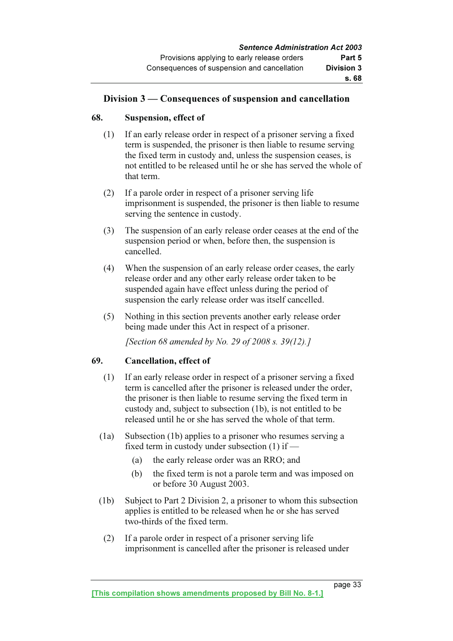## Division 3 — Consequences of suspension and cancellation

## 68. Suspension, effect of

- (1) If an early release order in respect of a prisoner serving a fixed term is suspended, the prisoner is then liable to resume serving the fixed term in custody and, unless the suspension ceases, is not entitled to be released until he or she has served the whole of that term.
- (2) If a parole order in respect of a prisoner serving life imprisonment is suspended, the prisoner is then liable to resume serving the sentence in custody.
- (3) The suspension of an early release order ceases at the end of the suspension period or when, before then, the suspension is cancelled.
- (4) When the suspension of an early release order ceases, the early release order and any other early release order taken to be suspended again have effect unless during the period of suspension the early release order was itself cancelled.
- (5) Nothing in this section prevents another early release order being made under this Act in respect of a prisoner.

[Section 68 amended by No. 29 of 2008 s. 39(12).]

## 69. Cancellation, effect of

- (1) If an early release order in respect of a prisoner serving a fixed term is cancelled after the prisoner is released under the order, the prisoner is then liable to resume serving the fixed term in custody and, subject to subsection (1b), is not entitled to be released until he or she has served the whole of that term.
- (1a) Subsection (1b) applies to a prisoner who resumes serving a fixed term in custody under subsection (1) if —
	- (a) the early release order was an RRO; and
	- (b) the fixed term is not a parole term and was imposed on or before 30 August 2003.
- (1b) Subject to Part 2 Division 2, a prisoner to whom this subsection applies is entitled to be released when he or she has served two-thirds of the fixed term.
	- (2) If a parole order in respect of a prisoner serving life imprisonment is cancelled after the prisoner is released under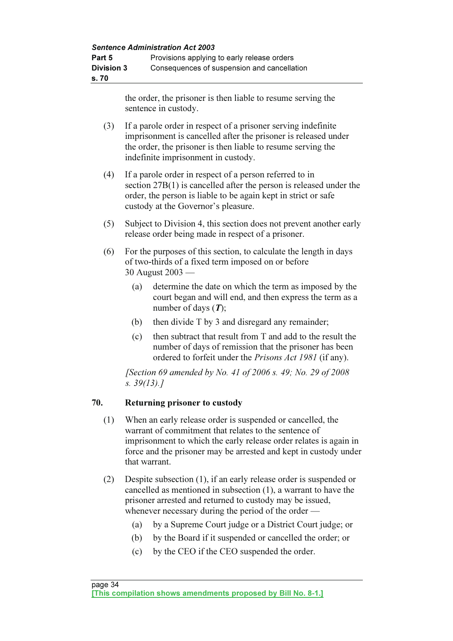| Part 5            | Provisions applying to early release orders |
|-------------------|---------------------------------------------|
| <b>Division 3</b> | Consequences of suspension and cancellation |
| s.70              |                                             |

the order, the prisoner is then liable to resume serving the sentence in custody.

- (3) If a parole order in respect of a prisoner serving indefinite imprisonment is cancelled after the prisoner is released under the order, the prisoner is then liable to resume serving the indefinite imprisonment in custody.
- (4) If a parole order in respect of a person referred to in section 27B(1) is cancelled after the person is released under the order, the person is liable to be again kept in strict or safe custody at the Governor's pleasure.
- (5) Subject to Division 4, this section does not prevent another early release order being made in respect of a prisoner.
- (6) For the purposes of this section, to calculate the length in days of two-thirds of a fixed term imposed on or before 30 August 2003 —
	- (a) determine the date on which the term as imposed by the court began and will end, and then express the term as a number of days  $(T)$ ;
	- (b) then divide T by 3 and disregard any remainder;
	- (c) then subtract that result from T and add to the result the number of days of remission that the prisoner has been ordered to forfeit under the Prisons Act 1981 (if any).

[Section 69 amended by No. 41 of 2006 s. 49; No. 29 of 2008] s. 39(13).]

## 70. Returning prisoner to custody

- (1) When an early release order is suspended or cancelled, the warrant of commitment that relates to the sentence of imprisonment to which the early release order relates is again in force and the prisoner may be arrested and kept in custody under that warrant.
- (2) Despite subsection (1), if an early release order is suspended or cancelled as mentioned in subsection (1), a warrant to have the prisoner arrested and returned to custody may be issued, whenever necessary during the period of the order —
	- (a) by a Supreme Court judge or a District Court judge; or
	- (b) by the Board if it suspended or cancelled the order; or
	- (c) by the CEO if the CEO suspended the order.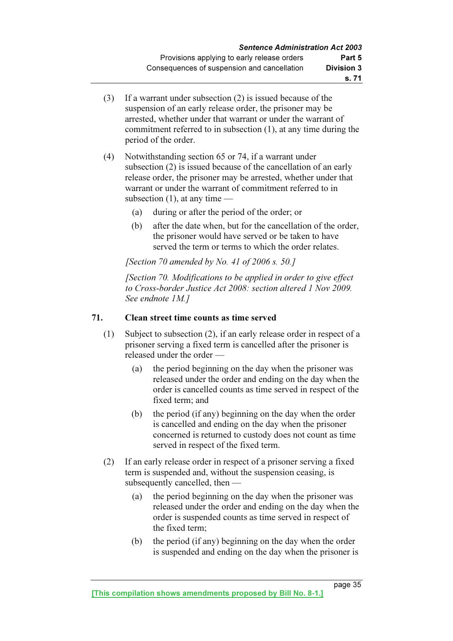- (3) If a warrant under subsection (2) is issued because of the suspension of an early release order, the prisoner may be arrested, whether under that warrant or under the warrant of commitment referred to in subsection (1), at any time during the period of the order.
- (4) Notwithstanding section 65 or 74, if a warrant under subsection (2) is issued because of the cancellation of an early release order, the prisoner may be arrested, whether under that warrant or under the warrant of commitment referred to in subsection  $(1)$ , at any time —
	- (a) during or after the period of the order; or
	- (b) after the date when, but for the cancellation of the order, the prisoner would have served or be taken to have served the term or terms to which the order relates.

[Section 70 amended by No. 41 of 2006 s. 50.]

 [Section 70. Modifications to be applied in order to give effect to Cross-border Justice Act 2008: section altered 1 Nov 2009. See endnote 1M.]

## 71. Clean street time counts as time served

- (1) Subject to subsection (2), if an early release order in respect of a prisoner serving a fixed term is cancelled after the prisoner is released under the order —
	- (a) the period beginning on the day when the prisoner was released under the order and ending on the day when the order is cancelled counts as time served in respect of the fixed term; and
	- (b) the period (if any) beginning on the day when the order is cancelled and ending on the day when the prisoner concerned is returned to custody does not count as time served in respect of the fixed term.
- (2) If an early release order in respect of a prisoner serving a fixed term is suspended and, without the suspension ceasing, is subsequently cancelled, then —
	- (a) the period beginning on the day when the prisoner was released under the order and ending on the day when the order is suspended counts as time served in respect of the fixed term;
	- (b) the period (if any) beginning on the day when the order is suspended and ending on the day when the prisoner is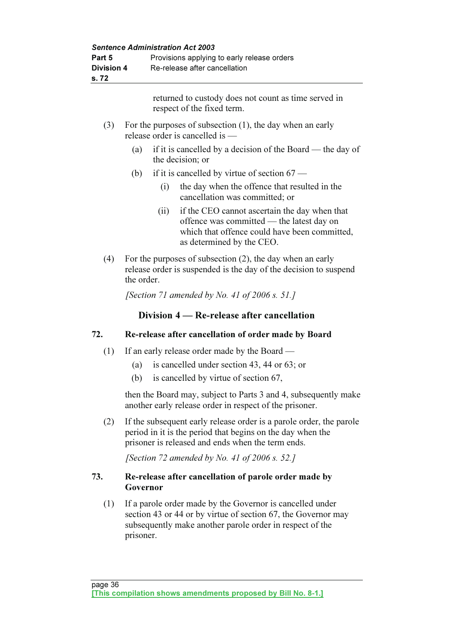| Part 5<br><b>Division 4</b><br>s. 72 |                                                      | <b>Sentence Administration Act 2003</b><br>Provisions applying to early release orders<br>Re-release after cancellation          |                                                                                                                                                                          |  |
|--------------------------------------|------------------------------------------------------|----------------------------------------------------------------------------------------------------------------------------------|--------------------------------------------------------------------------------------------------------------------------------------------------------------------------|--|
|                                      |                                                      |                                                                                                                                  | returned to custody does not count as time served in<br>respect of the fixed term.                                                                                       |  |
| (3)                                  |                                                      |                                                                                                                                  | For the purposes of subsection $(1)$ , the day when an early<br>release order is cancelled is -                                                                          |  |
|                                      | (a)                                                  |                                                                                                                                  | if it is cancelled by a decision of the Board — the day of<br>the decision; or                                                                                           |  |
|                                      | (b)                                                  |                                                                                                                                  | if it is cancelled by virtue of section $67$ —                                                                                                                           |  |
|                                      |                                                      | (i)                                                                                                                              | the day when the offence that resulted in the<br>cancellation was committed; or                                                                                          |  |
|                                      |                                                      | (ii)                                                                                                                             | if the CEO cannot ascertain the day when that<br>offence was committed — the latest day on<br>which that offence could have been committed,<br>as determined by the CEO. |  |
| (4)                                  | the order.                                           | For the purposes of subsection $(2)$ , the day when an early<br>release order is suspended is the day of the decision to suspend |                                                                                                                                                                          |  |
|                                      | [Section 71 amended by No. 41 of 2006 s. 51.]        |                                                                                                                                  |                                                                                                                                                                          |  |
|                                      |                                                      |                                                                                                                                  | Division 4 – Re-release after cancellation                                                                                                                               |  |
| 72.                                  | Re-release after cancellation of order made by Board |                                                                                                                                  |                                                                                                                                                                          |  |
| (1)                                  |                                                      |                                                                                                                                  | If an early release order made by the Board —                                                                                                                            |  |
|                                      | (a)                                                  |                                                                                                                                  | is cancelled under section 43, 44 or 63; or<br>$\sim$ 11 11 $\sim$ $\sim$ $\sim$ $\sim$                                                                                  |  |

(b) is cancelled by virtue of section 67,

 then the Board may, subject to Parts 3 and 4, subsequently make another early release order in respect of the prisoner.

 (2) If the subsequent early release order is a parole order, the parole period in it is the period that begins on the day when the prisoner is released and ends when the term ends.

[Section 72 amended by No. 41 of 2006 s. 52.]

## 73. Re-release after cancellation of parole order made by Governor

 (1) If a parole order made by the Governor is cancelled under section 43 or 44 or by virtue of section 67, the Governor may subsequently make another parole order in respect of the prisoner.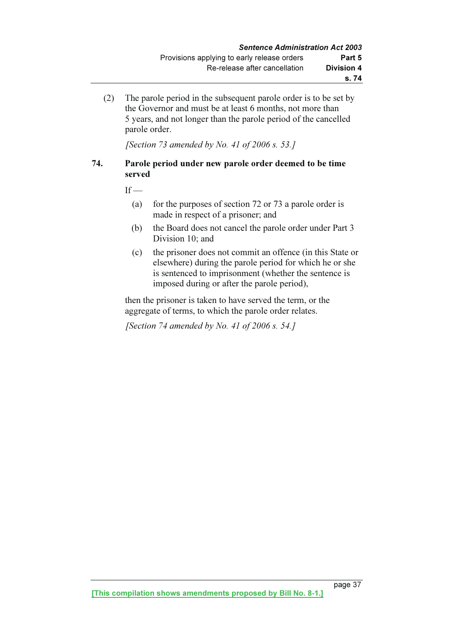(2) The parole period in the subsequent parole order is to be set by the Governor and must be at least 6 months, not more than 5 years, and not longer than the parole period of the cancelled parole order.

[Section 73 amended by No. 41 of 2006 s. 53.]

## 74. Parole period under new parole order deemed to be time served

 $If -$ 

- (a) for the purposes of section 72 or 73 a parole order is made in respect of a prisoner; and
- (b) the Board does not cancel the parole order under Part 3 Division 10; and
- (c) the prisoner does not commit an offence (in this State or elsewhere) during the parole period for which he or she is sentenced to imprisonment (whether the sentence is imposed during or after the parole period),

 then the prisoner is taken to have served the term, or the aggregate of terms, to which the parole order relates.

[Section 74 amended by No. 41 of 2006 s. 54.]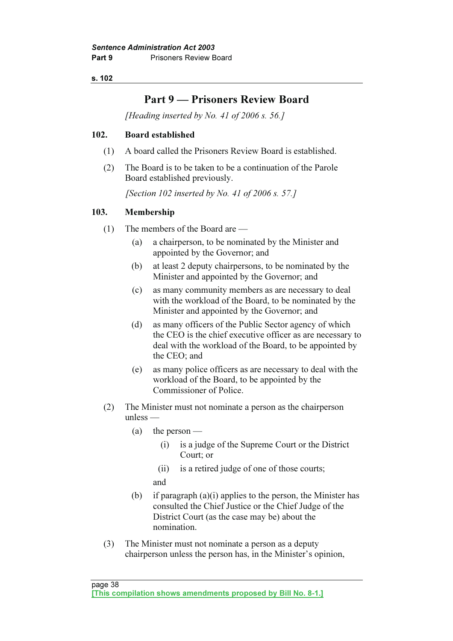## Part 9 — Prisoners Review Board

[Heading inserted by No. 41 of 2006 s. 56.]

## 102. Board established

- (1) A board called the Prisoners Review Board is established.
- (2) The Board is to be taken to be a continuation of the Parole Board established previously.

[Section 102 inserted by No. 41 of 2006 s. 57.]

## 103. Membership

- (1) The members of the Board are
	- (a) a chairperson, to be nominated by the Minister and appointed by the Governor; and
	- (b) at least 2 deputy chairpersons, to be nominated by the Minister and appointed by the Governor; and
	- (c) as many community members as are necessary to deal with the workload of the Board, to be nominated by the Minister and appointed by the Governor; and
	- (d) as many officers of the Public Sector agency of which the CEO is the chief executive officer as are necessary to deal with the workload of the Board, to be appointed by the CEO; and
	- (e) as many police officers as are necessary to deal with the workload of the Board, to be appointed by the Commissioner of Police.
- (2) The Minister must not nominate a person as the chairperson unless —
	- (a) the person
		- (i) is a judge of the Supreme Court or the District Court; or
		- (ii) is a retired judge of one of those courts;
		- and
	- (b) if paragraph (a)(i) applies to the person, the Minister has consulted the Chief Justice or the Chief Judge of the District Court (as the case may be) about the nomination.
- (3) The Minister must not nominate a person as a deputy chairperson unless the person has, in the Minister's opinion,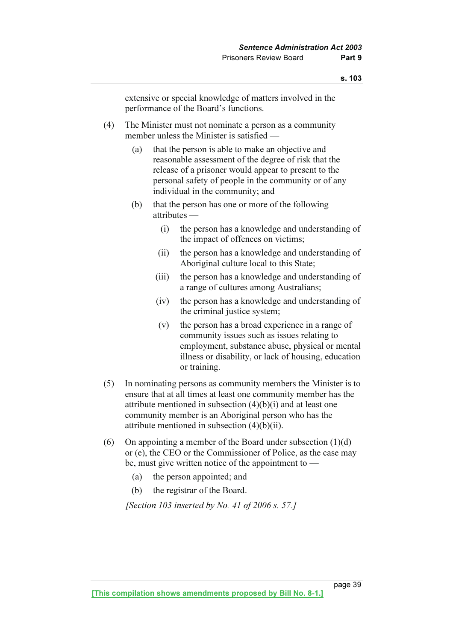extensive or special knowledge of matters involved in the performance of the Board's functions.

- (4) The Minister must not nominate a person as a community member unless the Minister is satisfied —
	- (a) that the person is able to make an objective and reasonable assessment of the degree of risk that the release of a prisoner would appear to present to the personal safety of people in the community or of any individual in the community; and
	- (b) that the person has one or more of the following attributes —
		- (i) the person has a knowledge and understanding of the impact of offences on victims;
		- (ii) the person has a knowledge and understanding of Aboriginal culture local to this State;
		- (iii) the person has a knowledge and understanding of a range of cultures among Australians;
		- (iv) the person has a knowledge and understanding of the criminal justice system;
		- (v) the person has a broad experience in a range of community issues such as issues relating to employment, substance abuse, physical or mental illness or disability, or lack of housing, education or training.
- (5) In nominating persons as community members the Minister is to ensure that at all times at least one community member has the attribute mentioned in subsection (4)(b)(i) and at least one community member is an Aboriginal person who has the attribute mentioned in subsection (4)(b)(ii).
- (6) On appointing a member of the Board under subsection  $(1)(d)$ or (e), the CEO or the Commissioner of Police, as the case may be, must give written notice of the appointment to —
	- (a) the person appointed; and
	- (b) the registrar of the Board.

[Section 103 inserted by No. 41 of 2006 s. 57.]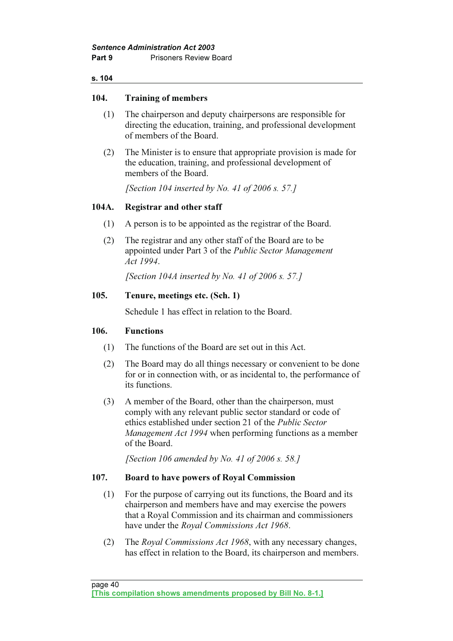## 104. Training of members

- (1) The chairperson and deputy chairpersons are responsible for directing the education, training, and professional development of members of the Board.
- (2) The Minister is to ensure that appropriate provision is made for the education, training, and professional development of members of the Board.

[Section 104 inserted by No. 41 of 2006 s. 57.]

## 104A. Registrar and other staff

- (1) A person is to be appointed as the registrar of the Board.
- (2) The registrar and any other staff of the Board are to be appointed under Part 3 of the Public Sector Management Act 1994.

[Section 104A inserted by No. 41 of 2006 s. 57.]

## 105. Tenure, meetings etc. (Sch. 1)

Schedule 1 has effect in relation to the Board.

## 106. Functions

- (1) The functions of the Board are set out in this Act.
- (2) The Board may do all things necessary or convenient to be done for or in connection with, or as incidental to, the performance of its functions.
- (3) A member of the Board, other than the chairperson, must comply with any relevant public sector standard or code of ethics established under section 21 of the Public Sector Management Act 1994 when performing functions as a member of the Board.

[Section 106 amended by No. 41 of 2006 s. 58.]

## 107. Board to have powers of Royal Commission

- (1) For the purpose of carrying out its functions, the Board and its chairperson and members have and may exercise the powers that a Royal Commission and its chairman and commissioners have under the *Royal Commissions Act 1968*.
- (2) The Royal Commissions Act 1968, with any necessary changes, has effect in relation to the Board, its chairperson and members.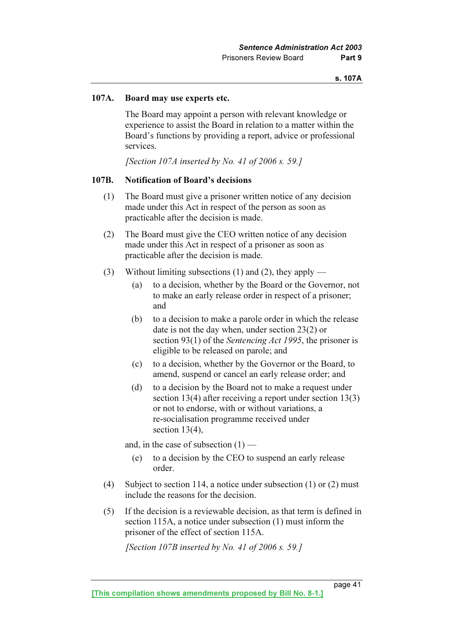## 107A. Board may use experts etc.

 The Board may appoint a person with relevant knowledge or experience to assist the Board in relation to a matter within the Board's functions by providing a report, advice or professional services.

[Section 107A inserted by No. 41 of 2006 s. 59.]

### 107B. Notification of Board's decisions

- (1) The Board must give a prisoner written notice of any decision made under this Act in respect of the person as soon as practicable after the decision is made.
- (2) The Board must give the CEO written notice of any decision made under this Act in respect of a prisoner as soon as practicable after the decision is made.
- (3) Without limiting subsections (1) and (2), they apply
	- (a) to a decision, whether by the Board or the Governor, not to make an early release order in respect of a prisoner; and
	- (b) to a decision to make a parole order in which the release date is not the day when, under section 23(2) or section 93(1) of the *Sentencing Act 1995*, the prisoner is eligible to be released on parole; and
	- (c) to a decision, whether by the Governor or the Board, to amend, suspend or cancel an early release order; and
	- (d) to a decision by the Board not to make a request under section 13(4) after receiving a report under section 13(3) or not to endorse, with or without variations, a re-socialisation programme received under section 13(4),

and, in the case of subsection  $(1)$  —

- (e) to a decision by the CEO to suspend an early release order.
- (4) Subject to section 114, a notice under subsection (1) or (2) must include the reasons for the decision.
- (5) If the decision is a reviewable decision, as that term is defined in section 115A, a notice under subsection (1) must inform the prisoner of the effect of section 115A.

[Section 107B inserted by No. 41 of 2006 s. 59.]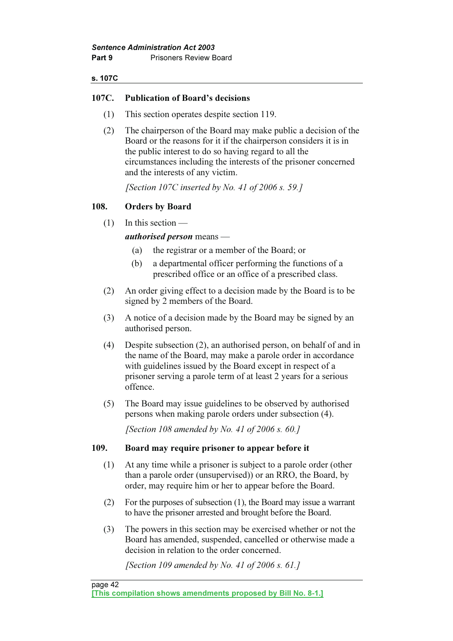### s. 107C

## 107C. Publication of Board's decisions

- (1) This section operates despite section 119.
- (2) The chairperson of the Board may make public a decision of the Board or the reasons for it if the chairperson considers it is in the public interest to do so having regard to all the circumstances including the interests of the prisoner concerned and the interests of any victim.

[Section 107C inserted by No. 41 of 2006 s. 59.]

## 108. Orders by Board

(1) In this section —

authorised person means —

- (a) the registrar or a member of the Board; or
- (b) a departmental officer performing the functions of a prescribed office or an office of a prescribed class.
- (2) An order giving effect to a decision made by the Board is to be signed by 2 members of the Board.
- (3) A notice of a decision made by the Board may be signed by an authorised person.
- (4) Despite subsection (2), an authorised person, on behalf of and in the name of the Board, may make a parole order in accordance with guidelines issued by the Board except in respect of a prisoner serving a parole term of at least 2 years for a serious offence.
- (5) The Board may issue guidelines to be observed by authorised persons when making parole orders under subsection (4).

[Section 108 amended by No. 41 of 2006 s.  $60.1$ ]

## 109. Board may require prisoner to appear before it

- (1) At any time while a prisoner is subject to a parole order (other than a parole order (unsupervised)) or an RRO, the Board, by order, may require him or her to appear before the Board.
- (2) For the purposes of subsection (1), the Board may issue a warrant to have the prisoner arrested and brought before the Board.
- (3) The powers in this section may be exercised whether or not the Board has amended, suspended, cancelled or otherwise made a decision in relation to the order concerned.

[Section 109 amended by No. 41 of 2006 s. 61.]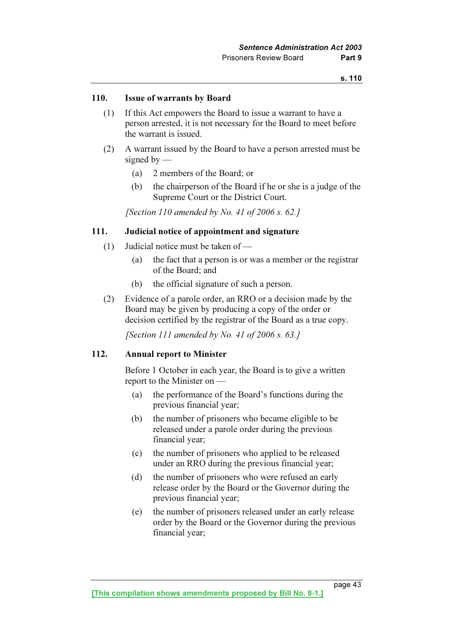### 110. Issue of warrants by Board

- (1) If this Act empowers the Board to issue a warrant to have a person arrested, it is not necessary for the Board to meet before the warrant is issued.
- (2) A warrant issued by the Board to have a person arrested must be signed by  $-$ 
	- (a) 2 members of the Board; or
	- (b) the chairperson of the Board if he or she is a judge of the Supreme Court or the District Court.

[Section 110 amended by No. 41 of 2006 s. 62.]

### 111. Judicial notice of appointment and signature

- (1) Judicial notice must be taken of
	- (a) the fact that a person is or was a member or the registrar of the Board; and
	- (b) the official signature of such a person.
- (2) Evidence of a parole order, an RRO or a decision made by the Board may be given by producing a copy of the order or decision certified by the registrar of the Board as a true copy.

[Section 111 amended by No. 41 of 2006 s. 63.]

### 112. Annual report to Minister

 Before 1 October in each year, the Board is to give a written report to the Minister on —

- (a) the performance of the Board's functions during the previous financial year;
- (b) the number of prisoners who became eligible to be released under a parole order during the previous financial year;
- (c) the number of prisoners who applied to be released under an RRO during the previous financial year;
- (d) the number of prisoners who were refused an early release order by the Board or the Governor during the previous financial year;
- (e) the number of prisoners released under an early release order by the Board or the Governor during the previous financial year;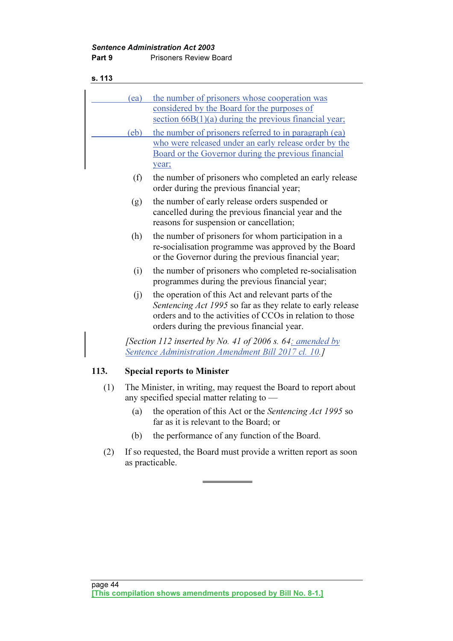| s. 113 |                                                                                                                   |                                                                                                                                                                                                                              |  |
|--------|-------------------------------------------------------------------------------------------------------------------|------------------------------------------------------------------------------------------------------------------------------------------------------------------------------------------------------------------------------|--|
|        | (ea)                                                                                                              | the number of prisoners whose cooperation was<br>considered by the Board for the purposes of<br>section $66B(1)(a)$ during the previous financial year;                                                                      |  |
|        | (eb)                                                                                                              | the number of prisoners referred to in paragraph (ea)<br>who were released under an early release order by the<br>Board or the Governor during the previous financial<br>year;                                               |  |
|        | (f)                                                                                                               | the number of prisoners who completed an early release<br>order during the previous financial year;                                                                                                                          |  |
|        | (g)                                                                                                               | the number of early release orders suspended or<br>cancelled during the previous financial year and the<br>reasons for suspension or cancellation;                                                                           |  |
|        | (h)                                                                                                               | the number of prisoners for whom participation in a<br>re-socialisation programme was approved by the Board<br>or the Governor during the previous financial year;                                                           |  |
|        | (i)                                                                                                               | the number of prisoners who completed re-socialization<br>programmes during the previous financial year;                                                                                                                     |  |
|        | (i)                                                                                                               | the operation of this Act and relevant parts of the<br>Sentencing Act 1995 so far as they relate to early release<br>orders and to the activities of CCOs in relation to those<br>orders during the previous financial year. |  |
|        | [Section 112 inserted by No. 41 of 2006 s. 64; amended by<br>Sentence Administration Amendment Bill 2017 cl. 10.] |                                                                                                                                                                                                                              |  |
| 113.   |                                                                                                                   | <b>Special reports to Minister</b>                                                                                                                                                                                           |  |
| (1)    | The Minister, in writing, may request the Board to report about<br>any specified special matter relating to —     |                                                                                                                                                                                                                              |  |
|        | (a)                                                                                                               | the operation of this Act or the Sentencing Act 1995 so<br>far as it is relevant to the Board; or                                                                                                                            |  |

- (b) the performance of any function of the Board.
- (2) If so requested, the Board must provide a written report as soon as practicable.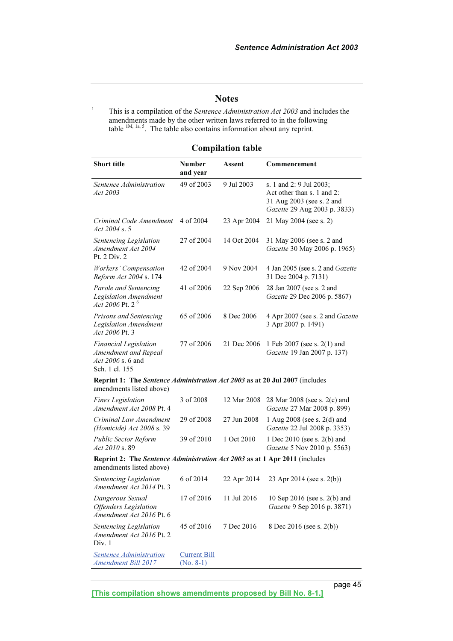## **Notes**

1 This is a compilation of the Sentence Administration Act 2003 and includes the amendments made by the other written laws referred to in the following table  $^{1M, 1a, 5}$ . The table also contains information about any reprint.

## Compilation table

| <b>Short title</b>                                                                                      | <b>Number</b><br>and year          | Assent      | Commencement                                                                                                       |
|---------------------------------------------------------------------------------------------------------|------------------------------------|-------------|--------------------------------------------------------------------------------------------------------------------|
| Sentence Administration<br>Act 2003                                                                     | 49 of 2003                         | 9 Jul 2003  | s. 1 and 2: 9 Jul 2003;<br>Act other than s. 1 and 2:<br>31 Aug 2003 (see s. 2 and<br>Gazette 29 Aug 2003 p. 3833) |
| Criminal Code Amendment<br>Act 2004 s. 5                                                                | 4 of 2004                          | 23 Apr 2004 | 21 May 2004 (see s. 2)                                                                                             |
| Sentencing Legislation<br>Amendment Act 2004<br>Pt. 2 Div. 2                                            | 27 of 2004                         | 14 Oct 2004 | 31 May 2006 (see s. 2 and<br>Gazette 30 May 2006 p. 1965)                                                          |
| Workers' Compensation<br>Reform Act 2004 s. 174                                                         | 42 of 2004                         | 9 Nov 2004  | 4 Jan 2005 (see s. 2 and Gazette<br>31 Dec 2004 p. 7131)                                                           |
| Parole and Sentencing<br><b>Legislation Amendment</b><br>Act 2006 Pt. 2 $^6$                            | 41 of 2006                         | 22 Sep 2006 | 28 Jan 2007 (see s. 2 and<br>Gazette 29 Dec 2006 p. 5867)                                                          |
| Prisons and Sentencing<br><b>Legislation Amendment</b><br>Act 2006 Pt. 3                                | 65 of 2006                         | 8 Dec 2006  | 4 Apr 2007 (see s. 2 and Gazette<br>3 Apr 2007 p. 1491)                                                            |
| <b>Financial Legislation</b><br>Amendment and Repeal<br>Act 2006 s. 6 and<br>Sch. 1 cl. 155             | 77 of 2006                         | 21 Dec 2006 | 1 Feb 2007 (see s. 2(1) and<br>Gazette 19 Jan 2007 p. 137)                                                         |
| Reprint 1: The Sentence Administration Act 2003 as at 20 Jul 2007 (includes<br>amendments listed above) |                                    |             |                                                                                                                    |
| <b>Fines</b> Legislation<br>Amendment Act 2008 Pt. 4                                                    | 3 of 2008                          | 12 Mar 2008 | 28 Mar 2008 (see s. 2(c) and<br>Gazette 27 Mar 2008 p. 899)                                                        |
| Criminal Law Amendment<br>(Homicide) Act 2008 s. 39                                                     | 29 of 2008                         | 27 Jun 2008 | 1 Aug 2008 (see s. 2(d) and<br>Gazette 22 Jul 2008 p. 3353)                                                        |
| <b>Public Sector Reform</b><br><i>Act 2010</i> s. 89                                                    | 39 of 2010                         | 1 Oct 2010  | 1 Dec 2010 (see s. 2(b) and<br>Gazette 5 Nov 2010 p. 5563)                                                         |
| Reprint 2: The Sentence Administration Act 2003 as at 1 Apr 2011 (includes<br>amendments listed above)  |                                    |             |                                                                                                                    |
| Sentencing Legislation<br>Amendment Act 2014 Pt. 3                                                      | 6 of 2014                          | 22 Apr 2014 | 23 Apr 2014 (see s. $2(b)$ )                                                                                       |
| Dangerous Sexual<br><b>Offenders</b> Legislation<br>Amendment Act 2016 Pt. 6                            | 17 of 2016                         | 11 Jul 2016 | 10 Sep 2016 (see s. 2(b) and<br>Gazette 9 Sep 2016 p. 3871)                                                        |
| Sentencing Legislation<br>Amendment Act 2016 Pt. 2<br>Div. 1                                            | 45 of 2016                         | 7 Dec 2016  | 8 Dec 2016 (see s. 2(b))                                                                                           |
| <b>Sentence Administration</b><br><b>Amendment Bill 2017</b>                                            | <b>Current Bill</b><br>$(No. 8-1)$ |             |                                                                                                                    |

[This compilation shows amendments proposed by Bill No. 8-1.]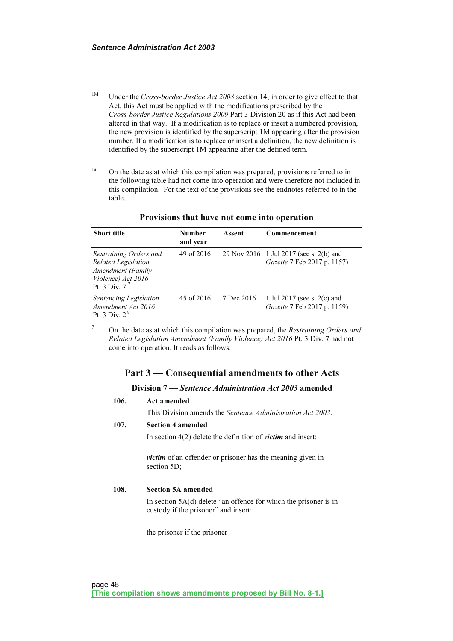- <sup>1M</sup> Under the Cross-border Justice Act 2008 section 14, in order to give effect to that Act, this Act must be applied with the modifications prescribed by the Cross-border Justice Regulations 2009 Part 3 Division 20 as if this Act had been altered in that way. If a modification is to replace or insert a numbered provision, the new provision is identified by the superscript 1M appearing after the provision number. If a modification is to replace or insert a definition, the new definition is identified by the superscript 1M appearing after the defined term.
- <sup>1a</sup> On the date as at which this compilation was prepared, provisions referred to in the following table had not come into operation and were therefore not included in this compilation. For the text of the provisions see the endnotes referred to in the table.

| <b>Short title</b>                                                                                                 | <b>Number</b><br>and year | Assent     | Commencement                                                           |
|--------------------------------------------------------------------------------------------------------------------|---------------------------|------------|------------------------------------------------------------------------|
| Restraining Orders and<br><b>Related Legislation</b><br>Amendment (Family<br>Violence) Act 2016<br>Pt. 3 Div. $77$ | 49 of 2016                |            | 29 Nov 2016 1 Jul 2017 (see s. 2(b) and<br>Gazette 7 Feb 2017 p. 1157) |
| Sentencing Legislation<br>Amendment Act 2016<br>Pt. 3 Div. $2^8$                                                   | 45 of 2016                | 7 Dec 2016 | 1 Jul 2017 (see s. 2(c) and<br>Gazette 7 Feb 2017 p. 1159)             |

### Provisions that have not come into operation

7 On the date as at which this compilation was prepared, the Restraining Orders and Related Legislation Amendment (Family Violence) Act 2016 Pt. 3 Div. 7 had not come into operation. It reads as follows:

## Part 3 — Consequential amendments to other Acts

### Division 7 — Sentence Administration Act 2003 amended

## 106. Act amended This Division amends the Sentence Administration Act 2003.

## 107. Section 4 amended

In section  $4(2)$  delete the definition of *victim* and insert:

victim of an offender or prisoner has the meaning given in section 5D;

### 108. Section 5A amended

 In section 5A(d) delete "an offence for which the prisoner is in custody if the prisoner" and insert:

the prisoner if the prisoner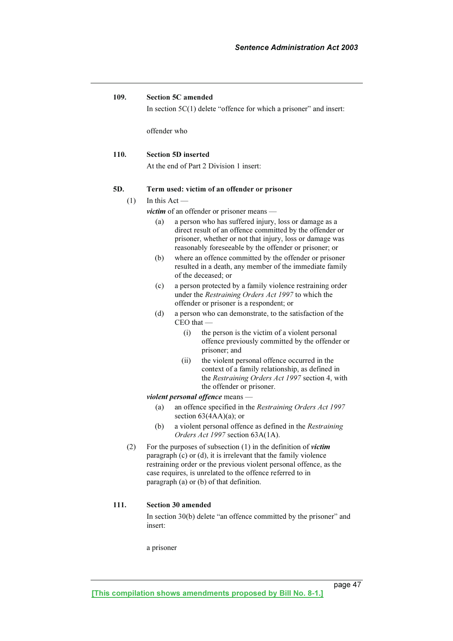### 109. Section 5C amended

In section  $5C(1)$  delete "offence for which a prisoner" and insert:

offender who

### 110. Section 5D inserted

At the end of Part 2 Division 1 insert:

### 5D. Term used: victim of an offender or prisoner

#### $(1)$  In this Act —

victim of an offender or prisoner means —

- (a) a person who has suffered injury, loss or damage as a direct result of an offence committed by the offender or prisoner, whether or not that injury, loss or damage was reasonably foreseeable by the offender or prisoner; or
- (b) where an offence committed by the offender or prisoner resulted in a death, any member of the immediate family of the deceased; or
- (c) a person protected by a family violence restraining order under the Restraining Orders Act 1997 to which the offender or prisoner is a respondent; or
- (d) a person who can demonstrate, to the satisfaction of the CEO that —
	- (i) the person is the victim of a violent personal offence previously committed by the offender or prisoner; and
	- (ii) the violent personal offence occurred in the context of a family relationship, as defined in the Restraining Orders Act 1997 section 4, with the offender or prisoner.

#### violent personal offence means —

- (a) an offence specified in the Restraining Orders Act 1997 section  $63(4AA)(a)$ ; or
- (b) a violent personal offence as defined in the Restraining Orders Act 1997 section 63A(1A).
- (2) For the purposes of subsection  $(1)$  in the definition of *victim* paragraph (c) or (d), it is irrelevant that the family violence restraining order or the previous violent personal offence, as the case requires, is unrelated to the offence referred to in paragraph (a) or (b) of that definition.

### 111. Section 30 amended

 In section 30(b) delete "an offence committed by the prisoner" and insert:

a prisoner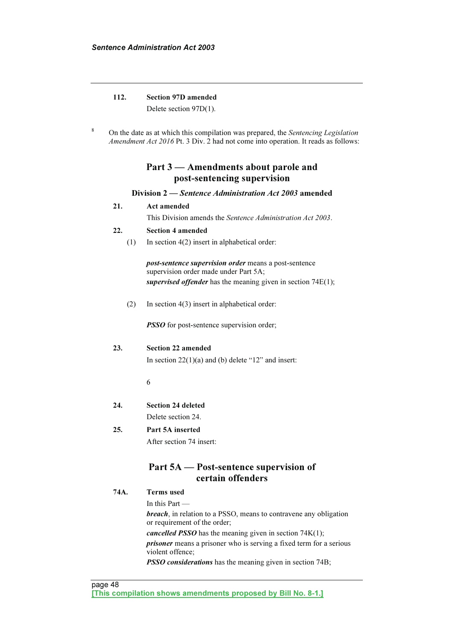## 112. Section 97D amended

Delete section 97D(1).

8 On the date as at which this compilation was prepared, the Sentencing Legislation Amendment Act 2016 Pt. 3 Div. 2 had not come into operation. It reads as follows:

## Part 3 — Amendments about parole and post-sentencing supervision

### Division 2 — Sentence Administration Act 2003 amended

### 21. Act amended

This Division amends the Sentence Administration Act 2003.

### 22. Section 4 amended

(1) In section 4(2) insert in alphabetical order:

post-sentence supervision order means a post-sentence supervision order made under Part 5A: supervised offender has the meaning given in section 74E(1);

(2) In section 4(3) insert in alphabetical order:

**PSSO** for post-sentence supervision order;

### 23. Section 22 amended

In section  $22(1)(a)$  and (b) delete "12" and insert:

6

24. Section 24 deleted

Delete section 24.

### 25. Part 5A inserted

After section 74 insert:

## Part 5A — Post-sentence supervision of certain offenders

74A. Terms used

In this Part —

breach, in relation to a PSSO, means to contravene any obligation or requirement of the order;

*cancelled PSSO* has the meaning given in section  $74K(1)$ ;

prisoner means a prisoner who is serving a fixed term for a serious violent offence;

**PSSO considerations** has the meaning given in section 74B;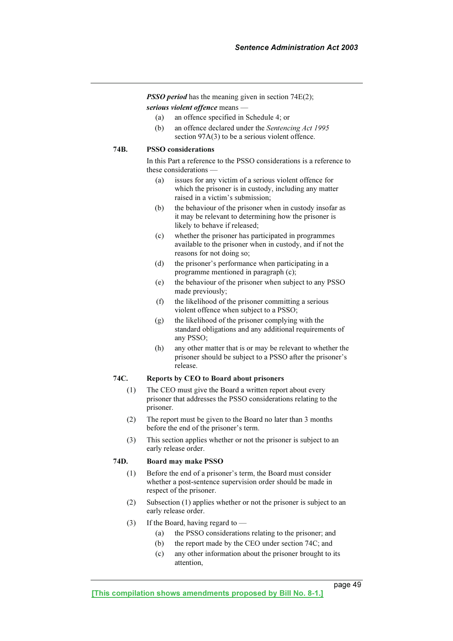**PSSO period** has the meaning given in section 74E(2); serious violent offence means -

- (a) an offence specified in Schedule 4; or
- (b) an offence declared under the Sentencing Act 1995 section 97A(3) to be a serious violent offence.

#### 74B. PSSO considerations

 In this Part a reference to the PSSO considerations is a reference to these considerations —

- (a) issues for any victim of a serious violent offence for which the prisoner is in custody, including any matter raised in a victim's submission;
- (b) the behaviour of the prisoner when in custody insofar as it may be relevant to determining how the prisoner is likely to behave if released;
- (c) whether the prisoner has participated in programmes available to the prisoner when in custody, and if not the reasons for not doing so;
- (d) the prisoner's performance when participating in a programme mentioned in paragraph (c);
- (e) the behaviour of the prisoner when subject to any PSSO made previously;
- (f) the likelihood of the prisoner committing a serious violent offence when subject to a PSSO;
- (g) the likelihood of the prisoner complying with the standard obligations and any additional requirements of any PSSO;
- (h) any other matter that is or may be relevant to whether the prisoner should be subject to a PSSO after the prisoner's release.

### 74C. Reports by CEO to Board about prisoners

- (1) The CEO must give the Board a written report about every prisoner that addresses the PSSO considerations relating to the prisoner.
- (2) The report must be given to the Board no later than 3 months before the end of the prisoner's term.
- (3) This section applies whether or not the prisoner is subject to an early release order.

### 74D. Board may make PSSO

- (1) Before the end of a prisoner's term, the Board must consider whether a post-sentence supervision order should be made in respect of the prisoner.
- (2) Subsection (1) applies whether or not the prisoner is subject to an early release order.
- (3) If the Board, having regard to  $-$ 
	- (a) the PSSO considerations relating to the prisoner; and
	- (b) the report made by the CEO under section 74C; and
	- (c) any other information about the prisoner brought to its attention,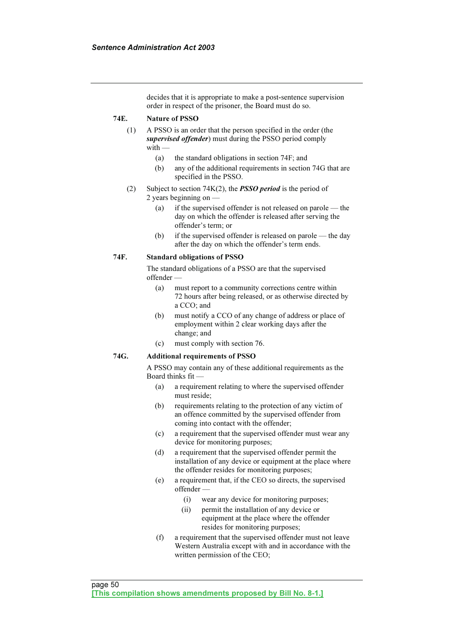decides that it is appropriate to make a post-sentence supervision order in respect of the prisoner, the Board must do so.

## 74E. Nature of PSSO

- (1) A PSSO is an order that the person specified in the order (the supervised offender) must during the PSSO period comply with —
	- (a) the standard obligations in section 74F; and
	- (b) any of the additional requirements in section 74G that are specified in the PSSO.
- (2) Subject to section  $74K(2)$ , the **PSSO** period is the period of 2 years beginning on —
	- (a) if the supervised offender is not released on parole the day on which the offender is released after serving the offender's term; or
	- (b) if the supervised offender is released on parole the day after the day on which the offender's term ends.

### 74F. Standard obligations of PSSO

 The standard obligations of a PSSO are that the supervised offender —

- (a) must report to a community corrections centre within 72 hours after being released, or as otherwise directed by a CCO; and
- (b) must notify a CCO of any change of address or place of employment within 2 clear working days after the change; and
- (c) must comply with section 76.

### 74G. Additional requirements of PSSO

 A PSSO may contain any of these additional requirements as the Board thinks fit —

- (a) a requirement relating to where the supervised offender must reside;
- (b) requirements relating to the protection of any victim of an offence committed by the supervised offender from coming into contact with the offender;
- (c) a requirement that the supervised offender must wear any device for monitoring purposes;
- (d) a requirement that the supervised offender permit the installation of any device or equipment at the place where the offender resides for monitoring purposes;
- (e) a requirement that, if the CEO so directs, the supervised offender —
	- (i) wear any device for monitoring purposes;
	- (ii) permit the installation of any device or equipment at the place where the offender resides for monitoring purposes;
- (f) a requirement that the supervised offender must not leave Western Australia except with and in accordance with the written permission of the CEO;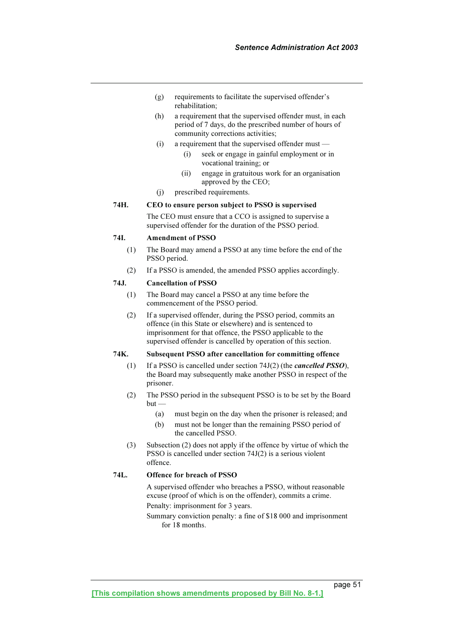- (g) requirements to facilitate the supervised offender's rehabilitation;
- (h) a requirement that the supervised offender must, in each period of 7 days, do the prescribed number of hours of community corrections activities;
- (i) a requirement that the supervised offender must
	- (i) seek or engage in gainful employment or in vocational training; or
	- (ii) engage in gratuitous work for an organisation approved by the CEO;
- (j) prescribed requirements.

### 74H. CEO to ensure person subject to PSSO is supervised

 The CEO must ensure that a CCO is assigned to supervise a supervised offender for the duration of the PSSO period.

### 74I. Amendment of PSSO

- (1) The Board may amend a PSSO at any time before the end of the PSSO period.
- (2) If a PSSO is amended, the amended PSSO applies accordingly.

### 74J. Cancellation of PSSO

- (1) The Board may cancel a PSSO at any time before the commencement of the PSSO period.
- (2) If a supervised offender, during the PSSO period, commits an offence (in this State or elsewhere) and is sentenced to imprisonment for that offence, the PSSO applicable to the supervised offender is cancelled by operation of this section.

### 74K. Subsequent PSSO after cancellation for committing offence

- (1) If a PSSO is cancelled under section  $74J(2)$  (the *cancelled PSSO*), the Board may subsequently make another PSSO in respect of the prisoner.
- (2) The PSSO period in the subsequent PSSO is to be set by the Board but —
	- (a) must begin on the day when the prisoner is released; and
	- (b) must not be longer than the remaining PSSO period of the cancelled PSSO.
- (3) Subsection (2) does not apply if the offence by virtue of which the PSSO is cancelled under section 74J(2) is a serious violent offence.

### 74L. Offence for breach of PSSO

 A supervised offender who breaches a PSSO, without reasonable excuse (proof of which is on the offender), commits a crime.

Penalty: imprisonment for 3 years.

 Summary conviction penalty: a fine of \$18 000 and imprisonment for 18 months.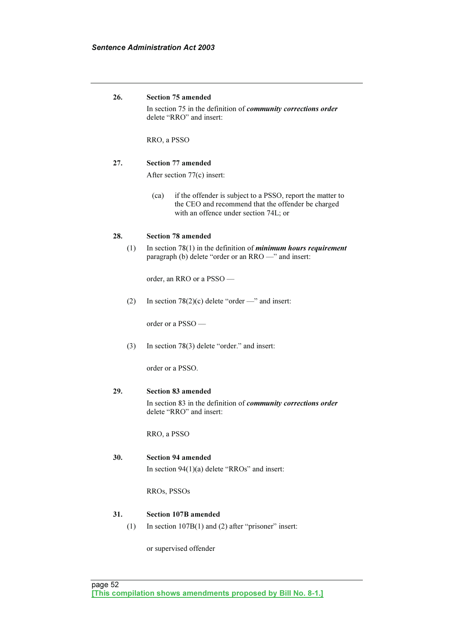| 26. | <b>Section 75 amended</b>                                                                                                                                         |  |  |
|-----|-------------------------------------------------------------------------------------------------------------------------------------------------------------------|--|--|
|     | In section 75 in the definition of <i>community corrections order</i><br>delete "RRO" and insert:                                                                 |  |  |
|     | RRO, a PSSO                                                                                                                                                       |  |  |
| 27. | <b>Section 77 amended</b>                                                                                                                                         |  |  |
|     | After section 77(c) insert:                                                                                                                                       |  |  |
|     | if the offender is subject to a PSSO, report the matter to<br>(ca)<br>the CEO and recommend that the offender be charged<br>with an offence under section 74L; or |  |  |
| 28. | <b>Section 78 amended</b>                                                                                                                                         |  |  |
| (1) | In section $78(1)$ in the definition of <i>minimum hours requirement</i><br>paragraph (b) delete "order or an RRO -" and insert:                                  |  |  |
|     | order, an RRO or a PSSO —                                                                                                                                         |  |  |
| (2) | In section 78(2)(c) delete "order —" and insert:                                                                                                                  |  |  |
|     | order or a $PSSO$ —                                                                                                                                               |  |  |
| (3) | In section $78(3)$ delete "order." and insert:                                                                                                                    |  |  |
|     | order or a PSSO.                                                                                                                                                  |  |  |
| 29. | <b>Section 83 amended</b>                                                                                                                                         |  |  |
|     | In section 83 in the definition of <i>community corrections order</i><br>delete "RRO" and insert:                                                                 |  |  |
|     | RRO, a PSSO                                                                                                                                                       |  |  |
| 30. | <b>Section 94 amended</b>                                                                                                                                         |  |  |
|     | In section $94(1)(a)$ delete "RROs" and insert:                                                                                                                   |  |  |
|     | RROs, PSSOs                                                                                                                                                       |  |  |
| 31. | <b>Section 107B amended</b>                                                                                                                                       |  |  |
| (1) | In section $107B(1)$ and (2) after "prisoner" insert:                                                                                                             |  |  |
|     | or supervised offender                                                                                                                                            |  |  |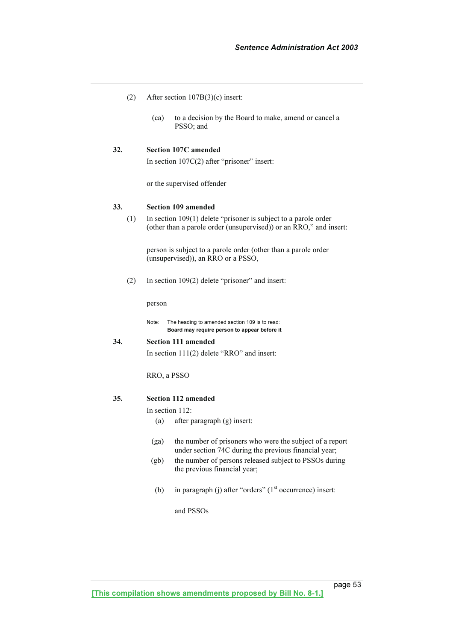- (2) After section 107B(3)(c) insert:
	- (ca) to a decision by the Board to make, amend or cancel a PSSO; and

### 32. Section 107C amended

In section 107C(2) after "prisoner" insert:

or the supervised offender

#### 33. Section 109 amended

 (1) In section 109(1) delete "prisoner is subject to a parole order (other than a parole order (unsupervised)) or an RRO," and insert:

 person is subject to a parole order (other than a parole order (unsupervised)), an RRO or a PSSO,

(2) In section 109(2) delete "prisoner" and insert:

person

Note: The heading to amended section 109 is to read: Board may require person to appear before it

#### 34. Section 111 amended

In section 111(2) delete "RRO" and insert:

RRO, a PSSO

### 35. Section 112 amended

In section 112:

- (a) after paragraph (g) insert:
- (ga) the number of prisoners who were the subject of a report under section 74C during the previous financial year;
- (gb) the number of persons released subject to PSSOs during the previous financial year;
- (b) in paragraph (j) after "orders"  $(1<sup>st</sup> occurrence)$  insert:

#### and PSSOs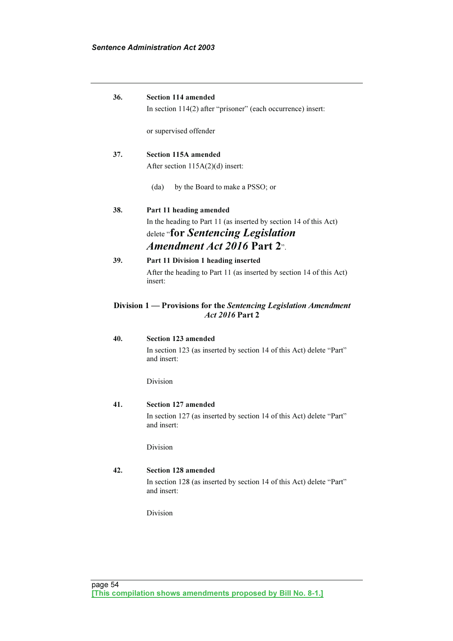| 36. | <b>Section 114 amended</b>                                                                 |
|-----|--------------------------------------------------------------------------------------------|
|     | In section 114(2) after "prisoner" (each occurrence) insert:                               |
|     |                                                                                            |
|     | or supervised offender                                                                     |
|     |                                                                                            |
| 37. | <b>Section 115A amended</b>                                                                |
|     | After section 115A(2)(d) insert:                                                           |
|     | (da)<br>by the Board to make a PSSO; or                                                    |
| 38. | Part 11 heading amended                                                                    |
|     | In the heading to Part 11 (as inserted by section 14 of this Act)                          |
|     | delete " <b>for Sentencing Legislation</b>                                                 |
|     | <i>Amendment Act 2016</i> Part 2 <sup><i>n</i></sup> .                                     |
| 39. | Part 11 Division 1 heading inserted                                                        |
|     | After the heading to Part 11 (as inserted by section 14 of this Act)<br>insert:            |
|     | Division 1 — Provisions for the Sentencing Legislation Amendment<br><i>Act 2016</i> Part 2 |
| 40. | <b>Section 123 amended</b>                                                                 |
|     | In section 123 (as inserted by section 14 of this Act) delete "Part"<br>and insert:        |
|     | Division                                                                                   |
| 41. | Section 127 amended                                                                        |
|     | In section 127 (as inserted by section 14 of this Act) delete "Part"<br>and insert:        |
|     | Division                                                                                   |
| 42. | <b>Section 128 amended</b>                                                                 |
|     | In section 128 (as inserted by section 14 of this Act) delete "Part"                       |

Division

and insert: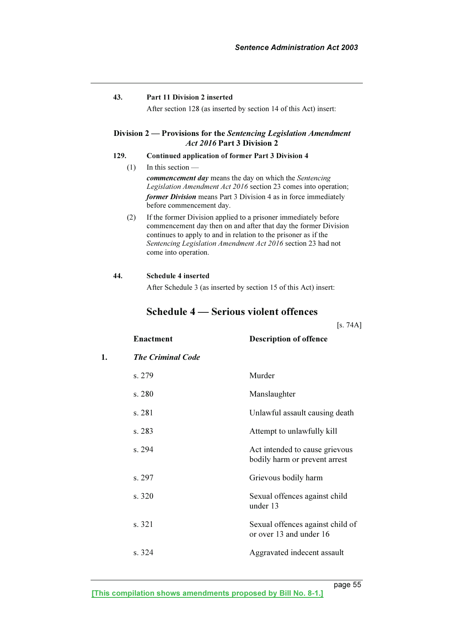### 43. Part 11 Division 2 inserted

After section 128 (as inserted by section 14 of this Act) insert:

### Division 2 — Provisions for the Sentencing Legislation Amendment Act 2016 Part 3 Division 2

### 129. Continued application of former Part 3 Division 4

- $(1)$  In this section commencement day means the day on which the Sentencing Legislation Amendment Act 2016 section 23 comes into operation; former Division means Part 3 Division 4 as in force immediately before commencement day.
- (2) If the former Division applied to a prisoner immediately before commencement day then on and after that day the former Division continues to apply to and in relation to the prisoner as if the Sentencing Legislation Amendment Act 2016 section 23 had not come into operation.

#### 44. Schedule 4 inserted

After Schedule 3 (as inserted by section 15 of this Act) insert:

## Schedule 4 — Serious violent offences

|    |                          | [s. 74A]                                                        |
|----|--------------------------|-----------------------------------------------------------------|
|    | <b>Enactment</b>         | <b>Description of offence</b>                                   |
| 1. | <b>The Criminal Code</b> |                                                                 |
|    | s. 279                   | Murder                                                          |
|    | s. 280                   | Manslaughter                                                    |
|    | s. 281                   | Unlawful assault causing death                                  |
|    | s. 283                   | Attempt to unlawfully kill                                      |
|    | s. 294                   | Act intended to cause grievous<br>bodily harm or prevent arrest |
|    | s. 297                   | Grievous bodily harm                                            |
|    | s. 320                   | Sexual offences against child<br>under 13                       |
|    | s. 321                   | Sexual offences against child of<br>or over 13 and under 16     |
|    | s. 324                   | Aggravated indecent assault                                     |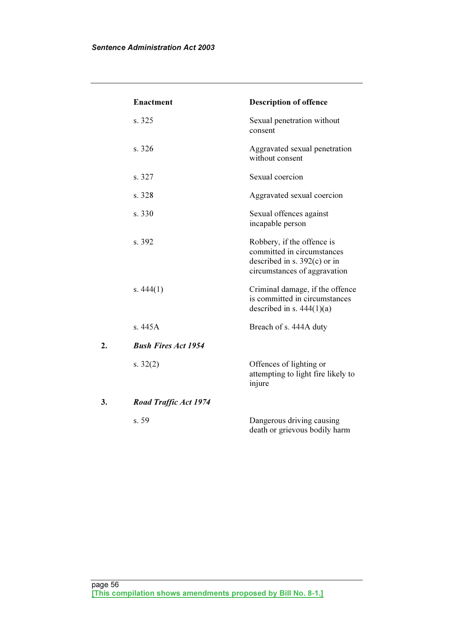|    | <b>Enactment</b>             | <b>Description of offence</b>                                                                                              |
|----|------------------------------|----------------------------------------------------------------------------------------------------------------------------|
|    | s. 325                       | Sexual penetration without<br>consent                                                                                      |
|    | s. 326                       | Aggravated sexual penetration<br>without consent                                                                           |
|    | s. 327                       | Sexual coercion                                                                                                            |
|    | s. 328                       | Aggravated sexual coercion                                                                                                 |
|    | s. 330                       | Sexual offences against<br>incapable person                                                                                |
|    | s. 392                       | Robbery, if the offence is<br>committed in circumstances<br>described in s. $392(c)$ or in<br>circumstances of aggravation |
|    | s. $444(1)$                  | Criminal damage, if the offence<br>is committed in circumstances<br>described in s. $444(1)(a)$                            |
|    | s. $445A$                    | Breach of s. 444A duty                                                                                                     |
| 2. | <b>Bush Fires Act 1954</b>   |                                                                                                                            |
|    | s. $32(2)$                   | Offences of lighting or<br>attempting to light fire likely to<br>injure                                                    |
| 3. | <b>Road Traffic Act 1974</b> |                                                                                                                            |
|    | s. 59                        | Dangerous driving causing<br>death or grievous bodily harm                                                                 |